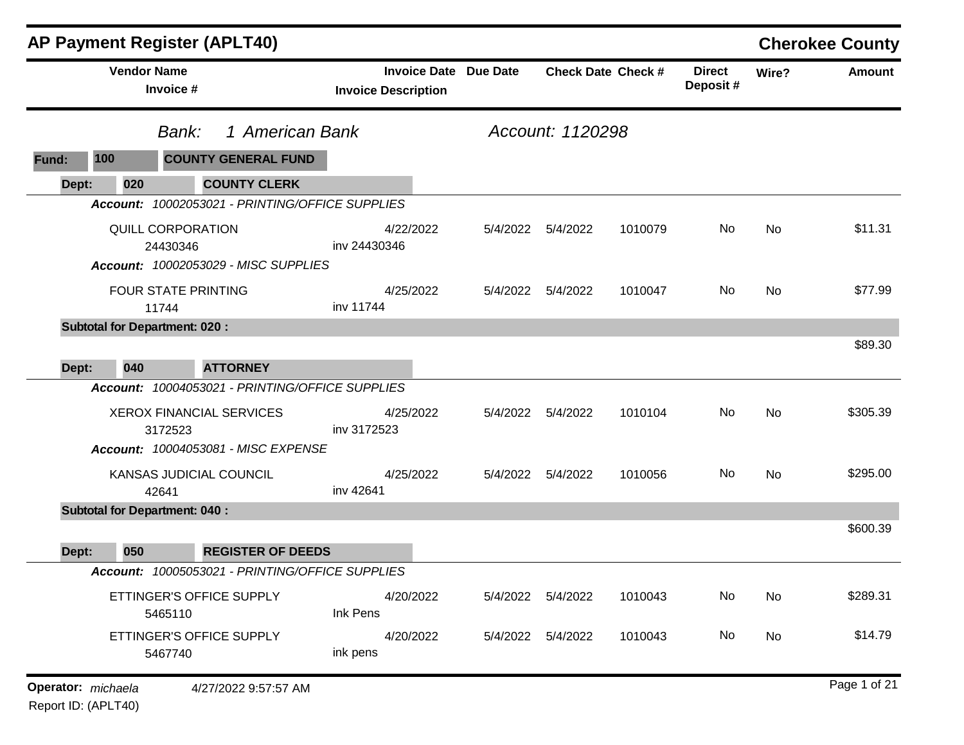|                    | <b>AP Payment Register (APLT40)</b>        |                                                 |                            |                              |                    |                           |                           |           | <b>Cherokee County</b> |
|--------------------|--------------------------------------------|-------------------------------------------------|----------------------------|------------------------------|--------------------|---------------------------|---------------------------|-----------|------------------------|
|                    | <b>Vendor Name</b><br>Invoice #            |                                                 | <b>Invoice Description</b> | <b>Invoice Date Due Date</b> |                    | <b>Check Date Check #</b> | <b>Direct</b><br>Deposit# | Wire?     | <b>Amount</b>          |
|                    | Bank:                                      | 1 American Bank                                 |                            |                              | Account: 1120298   |                           |                           |           |                        |
| 100<br>Fund:       |                                            | <b>COUNTY GENERAL FUND</b>                      |                            |                              |                    |                           |                           |           |                        |
| Dept:              | 020                                        | <b>COUNTY CLERK</b>                             |                            |                              |                    |                           |                           |           |                        |
|                    |                                            | Account: 10002053021 - PRINTING/OFFICE SUPPLIES |                            |                              |                    |                           |                           |           |                        |
|                    | <b>QUILL CORPORATION</b><br>24430346       |                                                 | 4/22/2022<br>inv 24430346  | 5/4/2022                     | 5/4/2022           | 1010079                   | No                        | No        | \$11.31                |
|                    | <b>FOUR STATE PRINTING</b>                 | <b>Account: 10002053029 - MISC SUPPLIES</b>     | 4/25/2022                  |                              | 5/4/2022 5/4/2022  | 1010047                   | No.                       | No        | \$77.99                |
|                    | 11744                                      |                                                 | inv 11744                  |                              |                    |                           |                           |           |                        |
|                    | <b>Subtotal for Department: 020:</b>       |                                                 |                            |                              |                    |                           |                           |           | \$89.30                |
| Dept:              | 040                                        | <b>ATTORNEY</b>                                 |                            |                              |                    |                           |                           |           |                        |
|                    |                                            | Account: 10004053021 - PRINTING/OFFICE SUPPLIES |                            |                              |                    |                           |                           |           |                        |
|                    | <b>XEROX FINANCIAL SERVICES</b><br>3172523 |                                                 | 4/25/2022<br>inv 3172523   | 5/4/2022                     | 5/4/2022           | 1010104                   | No                        | No        | \$305.39               |
|                    |                                            | <b>Account: 10004053081 - MISC EXPENSE</b>      |                            |                              |                    |                           |                           |           |                        |
|                    | KANSAS JUDICIAL COUNCIL<br>42641           |                                                 | 4/25/2022<br>inv 42641     | 5/4/2022                     | 5/4/2022           | 1010056                   | No                        | <b>No</b> | \$295.00               |
|                    | <b>Subtotal for Department: 040:</b>       |                                                 |                            |                              |                    |                           |                           |           |                        |
| Dept:              | 050                                        | <b>REGISTER OF DEEDS</b>                        |                            |                              |                    |                           |                           |           | \$600.39               |
|                    |                                            | Account: 10005053021 - PRINTING/OFFICE SUPPLIES |                            |                              |                    |                           |                           |           |                        |
|                    | ETTINGER'S OFFICE SUPPLY<br>5465110        |                                                 | 4/20/2022<br>Ink Pens      |                              | 5/4/2022  5/4/2022 | 1010043                   | No                        | No        | \$289.31               |
|                    | ETTINGER'S OFFICE SUPPLY<br>5467740        |                                                 | 4/20/2022<br>ink pens      |                              | 5/4/2022  5/4/2022 | 1010043                   | No                        | No        | \$14.79                |
| Operator: michaela |                                            | 4/27/2022 9:57:57 AM                            |                            |                              |                    |                           |                           |           | Page 1 of 21           |

Report ID: (APLT40)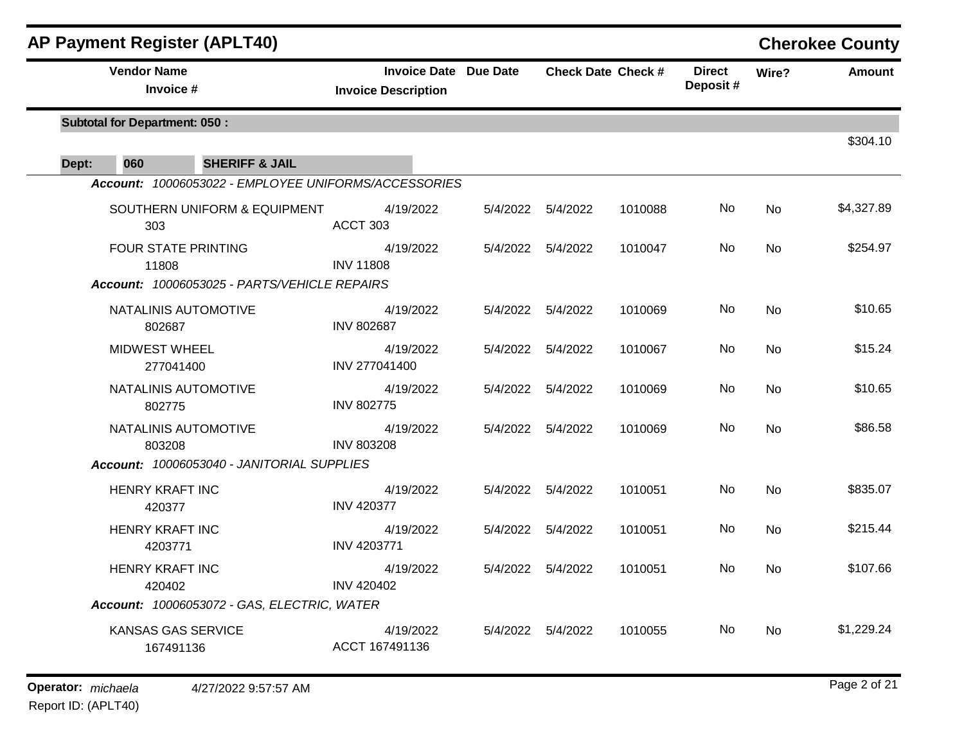| <b>AP Payment Register (APLT40)</b>                  |                                                            |          |                     |                           |                           |           | <b>Cherokee County</b> |
|------------------------------------------------------|------------------------------------------------------------|----------|---------------------|---------------------------|---------------------------|-----------|------------------------|
| <b>Vendor Name</b><br>Invoice #                      | <b>Invoice Date Due Date</b><br><b>Invoice Description</b> |          |                     | <b>Check Date Check #</b> | <b>Direct</b><br>Deposit# | Wire?     | <b>Amount</b>          |
| <b>Subtotal for Department: 050:</b>                 |                                                            |          |                     |                           |                           |           | \$304.10               |
| 060<br><b>SHERIFF &amp; JAIL</b><br>Dept:            |                                                            |          |                     |                           |                           |           |                        |
| Account: 10006053022 - EMPLOYEE UNIFORMS/ACCESSORIES |                                                            |          |                     |                           |                           |           |                        |
| SOUTHERN UNIFORM & EQUIPMENT<br>303                  | 4/19/2022<br>ACCT 303                                      | 5/4/2022 | 5/4/2022            | 1010088                   | No.                       | No        | \$4,327.89             |
| <b>FOUR STATE PRINTING</b><br>11808                  | 4/19/2022<br><b>INV 11808</b>                              |          | 5/4/2022  5/4/2022  | 1010047                   | No                        | No        | \$254.97               |
| Account: 10006053025 - PARTS/VEHICLE REPAIRS         |                                                            |          |                     |                           |                           |           |                        |
| NATALINIS AUTOMOTIVE<br>802687                       | 4/19/2022<br><b>INV 802687</b>                             |          | 5/4/2022  5/4/2022  | 1010069                   | No.                       | No        | \$10.65                |
| <b>MIDWEST WHEEL</b><br>277041400                    | 4/19/2022<br>INV 277041400                                 |          | 5/4/2022   5/4/2022 | 1010067                   | No                        | No        | \$15.24                |
| NATALINIS AUTOMOTIVE<br>802775                       | 4/19/2022<br><b>INV 802775</b>                             | 5/4/2022 | 5/4/2022            | 1010069                   | No.                       | <b>No</b> | \$10.65                |
| NATALINIS AUTOMOTIVE<br>803208                       | 4/19/2022<br><b>INV 803208</b>                             |          | 5/4/2022  5/4/2022  | 1010069                   | No.                       | No        | \$86.58                |
| Account: 10006053040 - JANITORIAL SUPPLIES           |                                                            |          |                     |                           |                           |           |                        |
| <b>HENRY KRAFT INC</b><br>420377                     | 4/19/2022<br><b>INV 420377</b>                             | 5/4/2022 | 5/4/2022            | 1010051                   | No.                       | <b>No</b> | \$835.07               |
| <b>HENRY KRAFT INC</b><br>4203771                    | 4/19/2022<br><b>INV 4203771</b>                            |          | 5/4/2022  5/4/2022  | 1010051                   | No.                       | No        | \$215.44               |
| <b>HENRY KRAFT INC</b><br>420402                     | 4/19/2022<br><b>INV 420402</b>                             |          | 5/4/2022  5/4/2022  | 1010051                   | No                        | No        | \$107.66               |
| Account: 10006053072 - GAS, ELECTRIC, WATER          |                                                            |          |                     |                           |                           |           |                        |
| KANSAS GAS SERVICE<br>167491136                      | 4/19/2022<br>ACCT 167491136                                |          | 5/4/2022   5/4/2022 | 1010055                   | No.                       | No        | \$1,229.24             |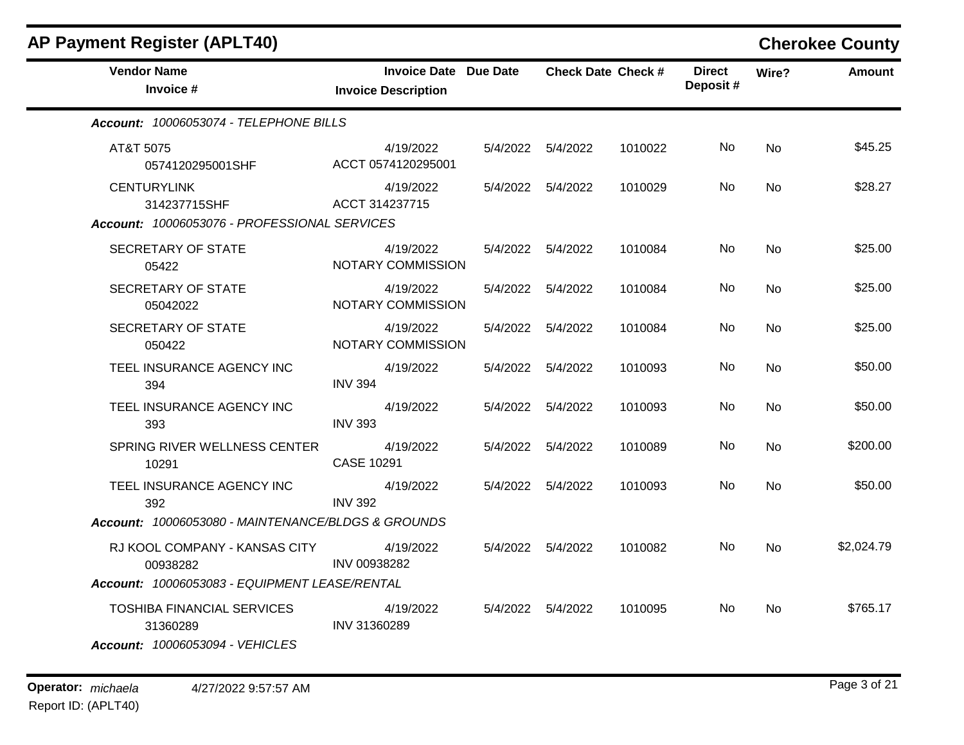| <b>AP Payment Register (APLT40)</b>                                              |                                                            |                     |                           |                           |           | <b>Cherokee County</b> |
|----------------------------------------------------------------------------------|------------------------------------------------------------|---------------------|---------------------------|---------------------------|-----------|------------------------|
| <b>Vendor Name</b><br>Invoice #                                                  | <b>Invoice Date Due Date</b><br><b>Invoice Description</b> |                     | <b>Check Date Check #</b> | <b>Direct</b><br>Deposit# | Wire?     | <b>Amount</b>          |
| Account: 10006053074 - TELEPHONE BILLS                                           |                                                            |                     |                           |                           |           |                        |
| AT&T 5075<br>0574120295001SHF                                                    | 4/19/2022<br>ACCT 0574120295001                            | 5/4/2022  5/4/2022  | 1010022                   | No.                       | No        | \$45.25                |
| <b>CENTURYLINK</b><br>314237715SHF                                               | 4/19/2022<br>ACCT 314237715                                | 5/4/2022  5/4/2022  | 1010029                   | No                        | <b>No</b> | \$28.27                |
| Account: 10006053076 - PROFESSIONAL SERVICES                                     |                                                            |                     |                           |                           |           |                        |
| SECRETARY OF STATE<br>05422                                                      | 4/19/2022<br>NOTARY COMMISSION                             | 5/4/2022  5/4/2022  | 1010084                   | No                        | <b>No</b> | \$25.00                |
| SECRETARY OF STATE<br>05042022                                                   | 4/19/2022<br>NOTARY COMMISSION                             | 5/4/2022  5/4/2022  | 1010084                   | No.                       | <b>No</b> | \$25.00                |
| <b>SECRETARY OF STATE</b><br>050422                                              | 4/19/2022<br>NOTARY COMMISSION                             | 5/4/2022  5/4/2022  | 1010084                   | No.                       | No        | \$25.00                |
| TEEL INSURANCE AGENCY INC<br>394                                                 | 4/19/2022<br><b>INV 394</b>                                | 5/4/2022  5/4/2022  | 1010093                   | No                        | No        | \$50.00                |
| TEEL INSURANCE AGENCY INC<br>393                                                 | 4/19/2022<br><b>INV 393</b>                                | 5/4/2022   5/4/2022 | 1010093                   | No                        | No        | \$50.00                |
| SPRING RIVER WELLNESS CENTER<br>10291                                            | 4/19/2022<br>CASE 10291                                    | 5/4/2022  5/4/2022  | 1010089                   | No                        | <b>No</b> | \$200.00               |
| TEEL INSURANCE AGENCY INC<br>392                                                 | 4/19/2022<br><b>INV 392</b>                                | 5/4/2022 5/4/2022   | 1010093                   | No.                       | <b>No</b> | \$50.00                |
| Account: 10006053080 - MAINTENANCE/BLDGS & GROUNDS                               |                                                            |                     |                           |                           |           |                        |
| RJ KOOL COMPANY - KANSAS CITY<br>00938282                                        | 4/19/2022<br>INV 00938282                                  | 5/4/2022 5/4/2022   | 1010082                   | No                        | No.       | \$2,024.79             |
| Account: 10006053083 - EQUIPMENT LEASE/RENTAL                                    |                                                            |                     |                           |                           |           |                        |
| <b>TOSHIBA FINANCIAL SERVICES</b><br>31360289<br>Account: 10006053094 - VEHICLES | 4/19/2022<br>INV 31360289                                  | 5/4/2022  5/4/2022  | 1010095                   | No.                       | No        | \$765.17               |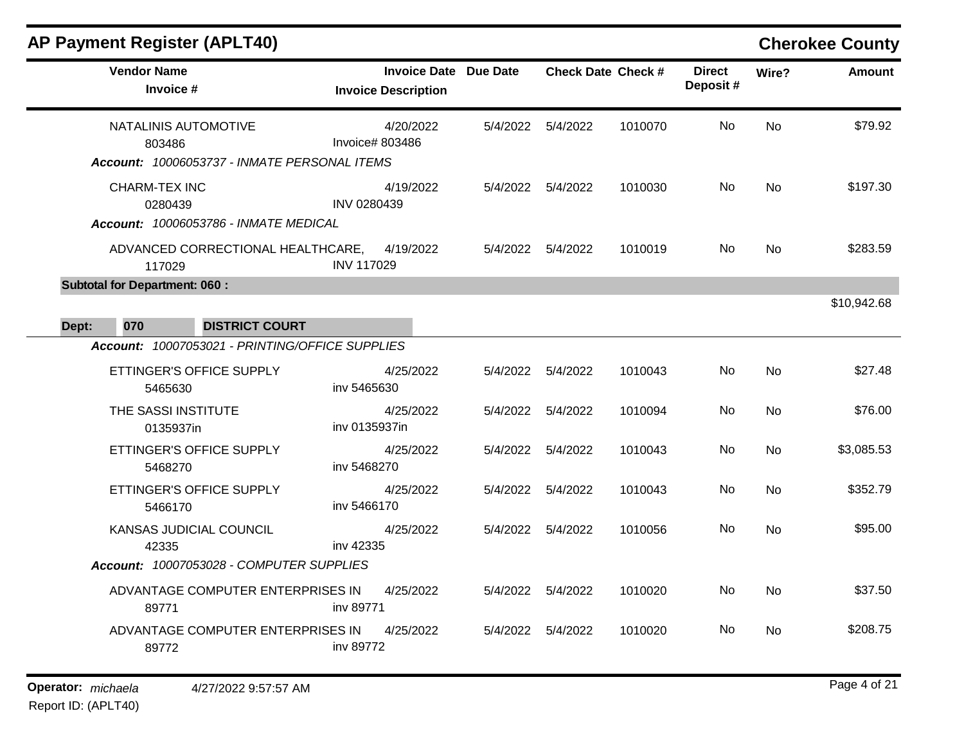| AF FAYIIIEIII NEYISIEI (AFLT4V)                                                |                                                            |          |                           |         |                           |           | <b>CHEFORGE COUTILY</b> |
|--------------------------------------------------------------------------------|------------------------------------------------------------|----------|---------------------------|---------|---------------------------|-----------|-------------------------|
| <b>Vendor Name</b><br>Invoice #                                                | <b>Invoice Date Due Date</b><br><b>Invoice Description</b> |          | <b>Check Date Check #</b> |         | <b>Direct</b><br>Deposit# | Wire?     | <b>Amount</b>           |
| NATALINIS AUTOMOTIVE<br>803486<br>Account: 10006053737 - INMATE PERSONAL ITEMS | 4/20/2022<br>Invoice# 803486                               |          | 5/4/2022  5/4/2022        | 1010070 | No                        | <b>No</b> | \$79.92                 |
| <b>CHARM-TEX INC</b><br>0280439<br>Account: 10006053786 - INMATE MEDICAL       | 4/19/2022<br>INV 0280439                                   |          | 5/4/2022  5/4/2022        | 1010030 | No                        | <b>No</b> | \$197.30                |
| ADVANCED CORRECTIONAL HEALTHCARE,<br>117029                                    | 4/19/2022<br><b>INV 117029</b>                             |          | 5/4/2022  5/4/2022        | 1010019 | No                        | <b>No</b> | \$283.59                |
| <b>Subtotal for Department: 060:</b>                                           |                                                            |          |                           |         |                           |           |                         |
| 070<br><b>DISTRICT COURT</b>                                                   |                                                            |          |                           |         |                           |           | \$10,942.68             |
| Dept:<br>Account: 10007053021 - PRINTING/OFFICE SUPPLIES                       |                                                            |          |                           |         |                           |           |                         |
| ETTINGER'S OFFICE SUPPLY<br>5465630                                            | 4/25/2022<br>inv 5465630                                   |          | 5/4/2022  5/4/2022        | 1010043 | No                        | <b>No</b> | \$27.48                 |
| THE SASSI INSTITUTE<br>0135937in                                               | 4/25/2022<br>inv 0135937in                                 |          | 5/4/2022   5/4/2022       | 1010094 | No                        | No        | \$76.00                 |
| ETTINGER'S OFFICE SUPPLY<br>5468270                                            | 4/25/2022<br>inv 5468270                                   | 5/4/2022 | 5/4/2022                  | 1010043 | No                        | <b>No</b> | \$3,085.53              |
| ETTINGER'S OFFICE SUPPLY<br>5466170                                            | 4/25/2022<br>inv 5466170                                   | 5/4/2022 | 5/4/2022                  | 1010043 | No                        | No        | \$352.79                |
| KANSAS JUDICIAL COUNCIL<br>42335                                               | 4/25/2022<br>inv 42335                                     |          | 5/4/2022  5/4/2022        | 1010056 | No.                       | No        | \$95.00                 |
| Account: 10007053028 - COMPUTER SUPPLIES                                       |                                                            |          |                           |         |                           |           |                         |
| ADVANTAGE COMPUTER ENTERPRISES IN<br>89771                                     | 4/25/2022<br>iny 89771                                     |          | 5/4/2022  5/4/2022        | 1010020 | No                        | <b>No</b> | \$37.50                 |
| ADVANTAGE COMPUTER ENTERPRISES IN<br>89772                                     | 4/25/2022<br>inv 89772                                     | 5/4/2022 | 5/4/2022                  | 1010020 | No.                       | <b>No</b> | \$208.75                |
|                                                                                |                                                            |          |                           |         |                           |           |                         |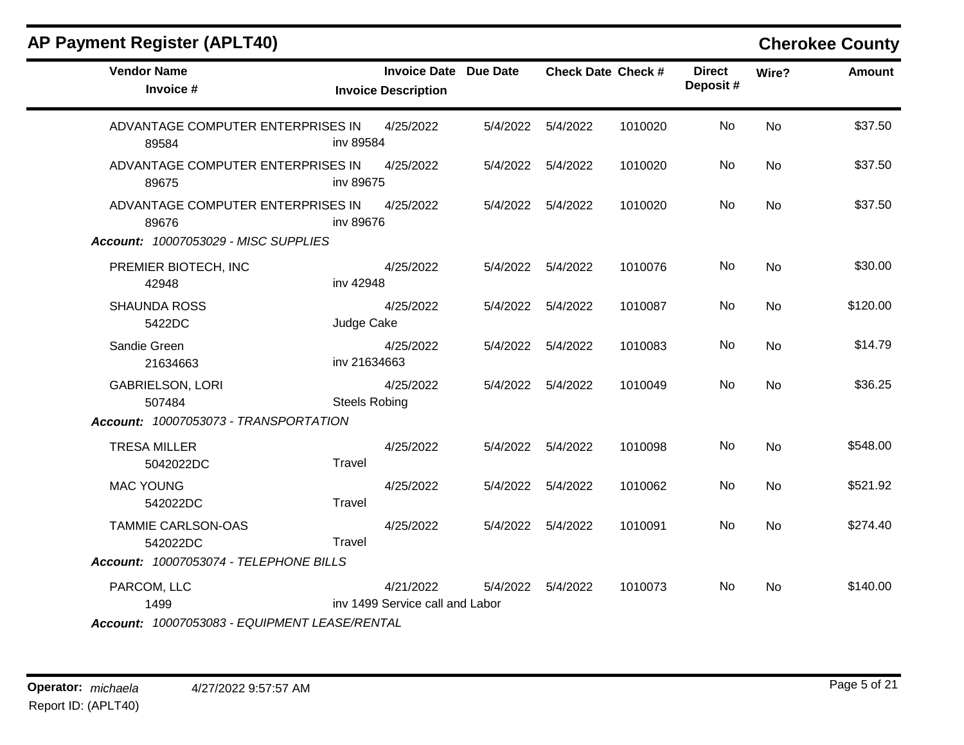|  |  |  | <b>AP Payment Register (APLT40)</b> |
|--|--|--|-------------------------------------|
|--|--|--|-------------------------------------|

## **Cherokee County**

| <b>Vendor Name</b><br>Invoice #            | <b>Invoice Date Due Date</b><br><b>Invoice Description</b> |          |                    | <b>Check Date Check #</b> | <b>Direct</b><br>Deposit# | Wire?     | <b>Amount</b> |
|--------------------------------------------|------------------------------------------------------------|----------|--------------------|---------------------------|---------------------------|-----------|---------------|
| ADVANTAGE COMPUTER ENTERPRISES IN<br>89584 | 4/25/2022<br>inv 89584                                     | 5/4/2022 | 5/4/2022           | 1010020                   | No                        | <b>No</b> | \$37.50       |
| ADVANTAGE COMPUTER ENTERPRISES IN<br>89675 | 4/25/2022<br>inv 89675                                     |          | 5/4/2022  5/4/2022 | 1010020                   | No                        | No        | \$37.50       |
| ADVANTAGE COMPUTER ENTERPRISES IN<br>89676 | 4/25/2022<br>inv 89676                                     |          | 5/4/2022 5/4/2022  | 1010020                   | No                        | No        | \$37.50       |
| Account: 10007053029 - MISC SUPPLIES       |                                                            |          |                    |                           |                           |           |               |
| PREMIER BIOTECH, INC<br>42948              | 4/25/2022<br>inv 42948                                     | 5/4/2022 | 5/4/2022           | 1010076                   | No                        | No        | \$30.00       |
| <b>SHAUNDA ROSS</b><br>5422DC              | 4/25/2022<br>Judge Cake                                    | 5/4/2022 | 5/4/2022           | 1010087                   | No                        | No        | \$120.00      |
| Sandie Green<br>21634663                   | 4/25/2022<br>inv 21634663                                  |          | 5/4/2022  5/4/2022 | 1010083                   | No.                       | <b>No</b> | \$14.79       |
| <b>GABRIELSON, LORI</b><br>507484          | 4/25/2022<br><b>Steels Robing</b>                          | 5/4/2022 | 5/4/2022           | 1010049                   | No                        | <b>No</b> | \$36.25       |
| Account: 10007053073 - TRANSPORTATION      |                                                            |          |                    |                           |                           |           |               |
| <b>TRESA MILLER</b><br>5042022DC           | 4/25/2022<br>Travel                                        |          | 5/4/2022 5/4/2022  | 1010098                   | No.                       | <b>No</b> | \$548.00      |
| <b>MAC YOUNG</b><br>542022DC               | 4/25/2022<br>Travel                                        |          | 5/4/2022  5/4/2022 | 1010062                   | No                        | No        | \$521.92      |
| TAMMIE CARLSON-OAS<br>542022DC             | 4/25/2022<br>Travel                                        | 5/4/2022 | 5/4/2022           | 1010091                   | No                        | <b>No</b> | \$274.40      |
| Account: 10007053074 - TELEPHONE BILLS     |                                                            |          |                    |                           |                           |           |               |
| PARCOM, LLC<br>1499                        | 4/21/2022<br>inv 1499 Service call and Labor               | 5/4/2022 | 5/4/2022           | 1010073                   | No                        | No        | \$140.00      |
|                                            |                                                            |          |                    |                           |                           |           |               |

*Account: 10007053083 - EQUIPMENT LEASE/RENTAL*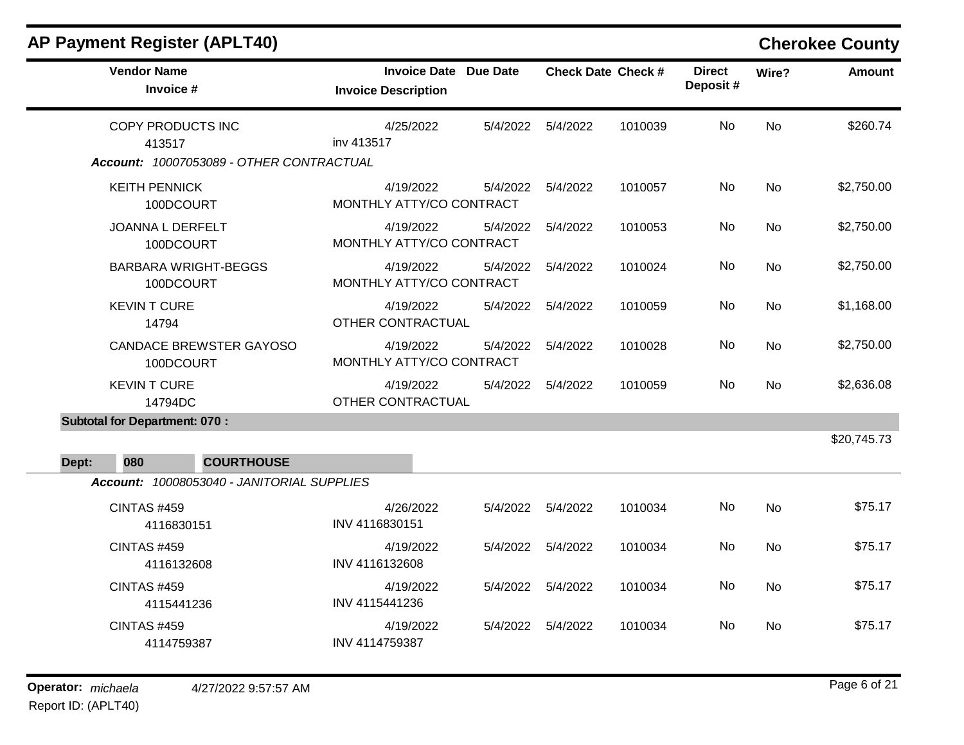| <b>Vendor Name</b>                          | <b>Invoice Date Due Date</b>          |          |                    | <b>Check Date Check #</b> | <b>Direct</b><br>Deposit# | Wire?     | <b>Amount</b> |
|---------------------------------------------|---------------------------------------|----------|--------------------|---------------------------|---------------------------|-----------|---------------|
| Invoice #                                   | <b>Invoice Description</b>            |          |                    |                           |                           |           |               |
| COPY PRODUCTS INC<br>413517                 | 4/25/2022<br>inv 413517               |          | 5/4/2022  5/4/2022 | 1010039                   | No                        | <b>No</b> | \$260.74      |
| Account: 10007053089 - OTHER CONTRACTUAL    |                                       |          |                    |                           |                           |           |               |
| <b>KEITH PENNICK</b><br>100DCOURT           | 4/19/2022<br>MONTHLY ATTY/CO CONTRACT |          | 5/4/2022  5/4/2022 | 1010057                   | No                        | <b>No</b> | \$2,750.00    |
| <b>JOANNA L DERFELT</b><br>100DCOURT        | 4/19/2022<br>MONTHLY ATTY/CO CONTRACT | 5/4/2022 | 5/4/2022           | 1010053                   | No                        | No        | \$2,750.00    |
| <b>BARBARA WRIGHT-BEGGS</b><br>100DCOURT    | 4/19/2022<br>MONTHLY ATTY/CO CONTRACT | 5/4/2022 | 5/4/2022           | 1010024                   | <b>No</b>                 | No        | \$2,750.00    |
| <b>KEVINT CURE</b><br>14794                 | 4/19/2022<br>OTHER CONTRACTUAL        |          | 5/4/2022  5/4/2022 | 1010059                   | No                        | <b>No</b> | \$1,168.00    |
| <b>CANDACE BREWSTER GAYOSO</b><br>100DCOURT | 4/19/2022<br>MONTHLY ATTY/CO CONTRACT | 5/4/2022 | 5/4/2022           | 1010028                   | No                        | <b>No</b> | \$2,750.00    |
| <b>KEVIN T CURE</b><br>14794DC              | 4/19/2022<br>OTHER CONTRACTUAL        |          | 5/4/2022  5/4/2022 | 1010059                   | No                        | <b>No</b> | \$2,636.08    |
| <b>Subtotal for Department: 070:</b>        |                                       |          |                    |                           |                           |           |               |
|                                             |                                       |          |                    |                           |                           |           | \$20,745.73   |
| 080<br><b>COURTHOUSE</b><br>Dept:           |                                       |          |                    |                           |                           |           |               |
| Account: 10008053040 - JANITORIAL SUPPLIES  |                                       |          |                    |                           |                           |           |               |
| <b>CINTAS #459</b><br>4116830151            | 4/26/2022<br>INV 4116830151           |          | 5/4/2022  5/4/2022 | 1010034                   | No                        | <b>No</b> | \$75.17       |
| <b>CINTAS #459</b><br>4116132608            | 4/19/2022<br>INV 4116132608           |          | 5/4/2022  5/4/2022 | 1010034                   | No                        | <b>No</b> | \$75.17       |
| <b>CINTAS #459</b><br>4115441236            | 4/19/2022<br>INV 4115441236           |          | 5/4/2022  5/4/2022 | 1010034                   | No                        | No        | \$75.17       |
| <b>CINTAS #459</b><br>4114759387            | 4/19/2022<br>INV 4114759387           |          | 5/4/2022  5/4/2022 | 1010034                   | No.                       | <b>No</b> | \$75.17       |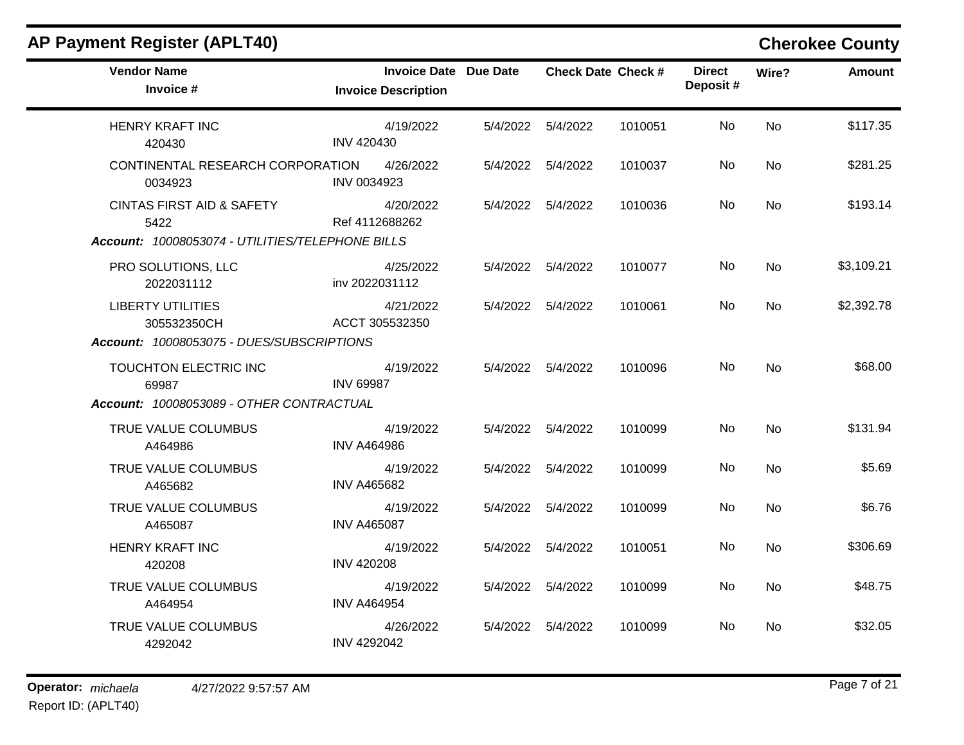| <b>Vendor Name</b><br>Invoice #                  | <b>Invoice Date Due Date</b><br><b>Invoice Description</b> |                     | <b>Check Date Check #</b> |         | <b>Direct</b><br>Deposit# | Wire?     | <b>Amount</b> |
|--------------------------------------------------|------------------------------------------------------------|---------------------|---------------------------|---------|---------------------------|-----------|---------------|
| <b>HENRY KRAFT INC</b><br>420430                 | 4/19/2022<br><b>INV 420430</b>                             | 5/4/2022   5/4/2022 |                           | 1010051 | No                        | <b>No</b> | \$117.35      |
| CONTINENTAL RESEARCH CORPORATION<br>0034923      | 4/26/2022<br>INV 0034923                                   | 5/4/2022  5/4/2022  |                           | 1010037 | No.                       | No        | \$281.25      |
| <b>CINTAS FIRST AID &amp; SAFETY</b><br>5422     | 4/20/2022<br>Ref 4112688262                                | 5/4/2022  5/4/2022  |                           | 1010036 | No.                       | No        | \$193.14      |
| Account: 10008053074 - UTILITIES/TELEPHONE BILLS |                                                            |                     |                           |         |                           |           |               |
| PRO SOLUTIONS, LLC<br>2022031112                 | 4/25/2022<br>inv 2022031112                                | 5/4/2022  5/4/2022  |                           | 1010077 | No                        | <b>No</b> | \$3,109.21    |
| <b>LIBERTY UTILITIES</b><br>305532350CH          | 4/21/2022<br>ACCT 305532350                                | 5/4/2022 5/4/2022   |                           | 1010061 | No.                       | <b>No</b> | \$2,392.78    |
| Account: 10008053075 - DUES/SUBSCRIPTIONS        |                                                            |                     |                           |         |                           |           |               |
| TOUCHTON ELECTRIC INC<br>69987                   | 4/19/2022<br><b>INV 69987</b>                              | 5/4/2022  5/4/2022  |                           | 1010096 | No.                       | <b>No</b> | \$68.00       |
| Account: 10008053089 - OTHER CONTRACTUAL         |                                                            |                     |                           |         |                           |           |               |
| TRUE VALUE COLUMBUS<br>A464986                   | 4/19/2022<br><b>INV A464986</b>                            | 5/4/2022  5/4/2022  |                           | 1010099 | No                        | <b>No</b> | \$131.94      |
| TRUE VALUE COLUMBUS<br>A465682                   | 4/19/2022<br><b>INV A465682</b>                            | 5/4/2022  5/4/2022  |                           | 1010099 | No.                       | <b>No</b> | \$5.69        |
| TRUE VALUE COLUMBUS<br>A465087                   | 4/19/2022<br><b>INV A465087</b>                            | 5/4/2022  5/4/2022  |                           | 1010099 | <b>No</b>                 | <b>No</b> | \$6.76        |
| <b>HENRY KRAFT INC</b><br>420208                 | 4/19/2022<br><b>INV 420208</b>                             | 5/4/2022   5/4/2022 |                           | 1010051 | No                        | <b>No</b> | \$306.69      |
| TRUE VALUE COLUMBUS<br>A464954                   | 4/19/2022<br><b>INV A464954</b>                            | 5/4/2022  5/4/2022  |                           | 1010099 | No                        | <b>No</b> | \$48.75       |
| TRUE VALUE COLUMBUS<br>4292042                   | 4/26/2022<br><b>INV 4292042</b>                            | 5/4/2022   5/4/2022 |                           | 1010099 | No                        | <b>No</b> | \$32.05       |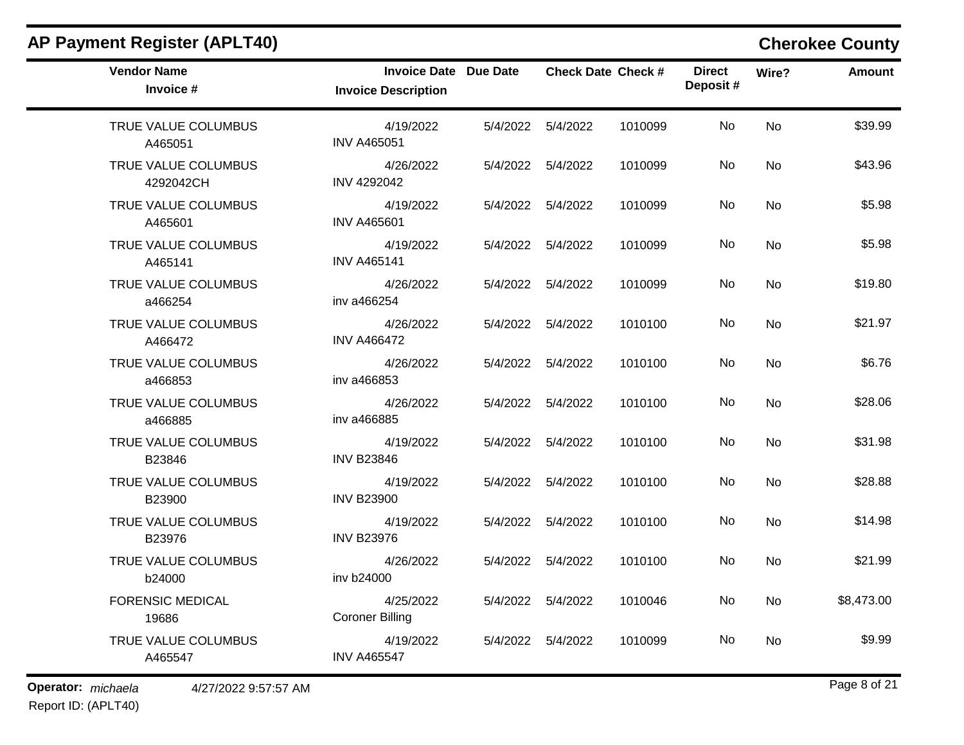| <b>Vendor Name</b><br>Invoice #  | <b>Invoice Date Due Date</b><br><b>Invoice Description</b> |                     | <b>Check Date Check #</b> |         | <b>Direct</b><br>Deposit# | Wire?     | <b>Amount</b> |
|----------------------------------|------------------------------------------------------------|---------------------|---------------------------|---------|---------------------------|-----------|---------------|
| TRUE VALUE COLUMBUS<br>A465051   | 4/19/2022<br><b>INV A465051</b>                            | 5/4/2022   5/4/2022 |                           | 1010099 | No.                       | <b>No</b> | \$39.99       |
| TRUE VALUE COLUMBUS<br>4292042CH | 4/26/2022<br><b>INV 4292042</b>                            | 5/4/2022  5/4/2022  |                           | 1010099 | No.                       | <b>No</b> | \$43.96       |
| TRUE VALUE COLUMBUS<br>A465601   | 4/19/2022<br><b>INV A465601</b>                            | 5/4/2022  5/4/2022  |                           | 1010099 | No                        | <b>No</b> | \$5.98        |
| TRUE VALUE COLUMBUS<br>A465141   | 4/19/2022<br><b>INV A465141</b>                            | 5/4/2022  5/4/2022  |                           | 1010099 | No.                       | No        | \$5.98        |
| TRUE VALUE COLUMBUS<br>a466254   | 4/26/2022<br>inv a466254                                   | 5/4/2022  5/4/2022  |                           | 1010099 | No.                       | <b>No</b> | \$19.80       |
| TRUE VALUE COLUMBUS<br>A466472   | 4/26/2022<br><b>INV A466472</b>                            | 5/4/2022   5/4/2022 |                           | 1010100 | No                        | <b>No</b> | \$21.97       |
| TRUE VALUE COLUMBUS<br>a466853   | 4/26/2022<br>inv a466853                                   | 5/4/2022  5/4/2022  |                           | 1010100 | <b>No</b>                 | <b>No</b> | \$6.76        |
| TRUE VALUE COLUMBUS<br>a466885   | 4/26/2022<br>inv a466885                                   | 5/4/2022  5/4/2022  |                           | 1010100 | No.                       | <b>No</b> | \$28.06       |
| TRUE VALUE COLUMBUS<br>B23846    | 4/19/2022<br><b>INV B23846</b>                             | 5/4/2022  5/4/2022  |                           | 1010100 | No                        | <b>No</b> | \$31.98       |
| TRUE VALUE COLUMBUS<br>B23900    | 4/19/2022<br><b>INV B23900</b>                             | 5/4/2022  5/4/2022  |                           | 1010100 | No.                       | No        | \$28.88       |
| TRUE VALUE COLUMBUS<br>B23976    | 4/19/2022<br><b>INV B23976</b>                             | 5/4/2022  5/4/2022  |                           | 1010100 | No                        | No        | \$14.98       |
| TRUE VALUE COLUMBUS<br>b24000    | 4/26/2022<br>inv b24000                                    | 5/4/2022  5/4/2022  |                           | 1010100 | No                        | <b>No</b> | \$21.99       |
| <b>FORENSIC MEDICAL</b><br>19686 | 4/25/2022<br><b>Coroner Billing</b>                        | 5/4/2022  5/4/2022  |                           | 1010046 | No.                       | No        | \$8,473.00    |
| TRUE VALUE COLUMBUS<br>A465547   | 4/19/2022<br><b>INV A465547</b>                            | 5/4/2022   5/4/2022 |                           | 1010099 | No                        | <b>No</b> | \$9.99        |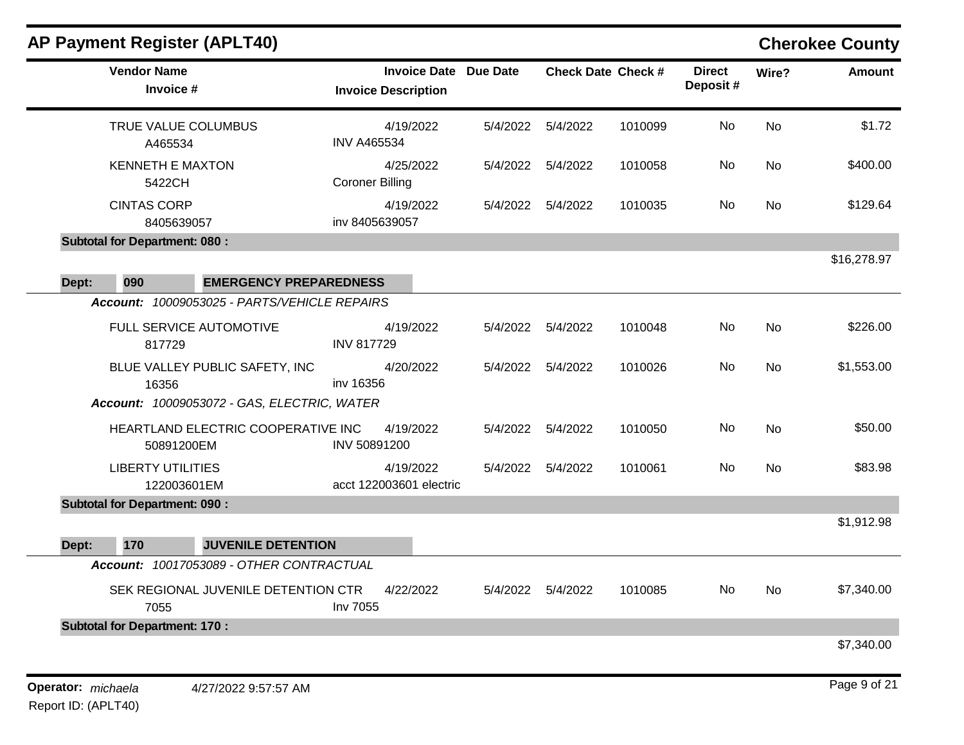|       |                                         | <b>AP Payment Register (APLT40)</b>          |                                      |                              |                   |                           |                           |           | <b>Cherokee County</b> |
|-------|-----------------------------------------|----------------------------------------------|--------------------------------------|------------------------------|-------------------|---------------------------|---------------------------|-----------|------------------------|
|       | <b>Vendor Name</b><br>Invoice #         |                                              | <b>Invoice Description</b>           | <b>Invoice Date Due Date</b> |                   | <b>Check Date Check #</b> | <b>Direct</b><br>Deposit# | Wire?     | <b>Amount</b>          |
|       | TRUE VALUE COLUMBUS<br>A465534          |                                              | 4/19/2022<br><b>INV A465534</b>      | 5/4/2022                     | 5/4/2022          | 1010099                   | No                        | <b>No</b> | \$1.72                 |
|       | <b>KENNETH E MAXTON</b><br>5422CH       |                                              | 4/25/2022<br><b>Coroner Billing</b>  | 5/4/2022                     | 5/4/2022          | 1010058                   | No.                       | No        | \$400.00               |
|       | <b>CINTAS CORP</b><br>8405639057        |                                              | 4/19/2022<br>inv 8405639057          | 5/4/2022                     | 5/4/2022          | 1010035                   | No                        | <b>No</b> | \$129.64               |
|       | <b>Subtotal for Department: 080:</b>    |                                              |                                      |                              |                   |                           |                           |           |                        |
| Dept: | 090                                     | <b>EMERGENCY PREPAREDNESS</b>                |                                      |                              |                   |                           |                           |           | \$16,278.97            |
|       |                                         | Account: 10009053025 - PARTS/VEHICLE REPAIRS |                                      |                              |                   |                           |                           |           |                        |
|       | 817729                                  | <b>FULL SERVICE AUTOMOTIVE</b>               | 4/19/2022<br><b>INV 817729</b>       | 5/4/2022                     | 5/4/2022          | 1010048                   | No                        | <b>No</b> | \$226.00               |
|       | 16356                                   | BLUE VALLEY PUBLIC SAFETY, INC               | 4/20/2022<br>inv 16356               | 5/4/2022                     | 5/4/2022          | 1010026                   | No                        | <b>No</b> | \$1,553.00             |
|       |                                         | Account: 10009053072 - GAS, ELECTRIC, WATER  |                                      |                              |                   |                           |                           |           |                        |
|       | 50891200EM                              | HEARTLAND ELECTRIC COOPERATIVE INC           | 4/19/2022<br>INV 50891200            |                              | 5/4/2022 5/4/2022 | 1010050                   | No                        | <b>No</b> | \$50.00                |
|       | <b>LIBERTY UTILITIES</b><br>122003601EM |                                              | 4/19/2022<br>acct 122003601 electric | 5/4/2022                     | 5/4/2022          | 1010061                   | No.                       | <b>No</b> | \$83.98                |
|       | <b>Subtotal for Department: 090:</b>    |                                              |                                      |                              |                   |                           |                           |           |                        |
| Dept: | 170                                     | <b>JUVENILE DETENTION</b>                    |                                      |                              |                   |                           |                           |           | \$1,912.98             |
|       |                                         | Account: 10017053089 - OTHER CONTRACTUAL     |                                      |                              |                   |                           |                           |           |                        |
|       | 7055                                    | SEK REGIONAL JUVENILE DETENTION CTR          | 4/22/2022<br>Inv 7055                | 5/4/2022                     | 5/4/2022          | 1010085                   | No.                       | No        | \$7,340.00             |
|       | <b>Subtotal for Department: 170:</b>    |                                              |                                      |                              |                   |                           |                           |           |                        |
|       |                                         |                                              |                                      |                              |                   |                           |                           |           | \$7,340.00             |
|       |                                         |                                              |                                      |                              |                   |                           |                           |           |                        |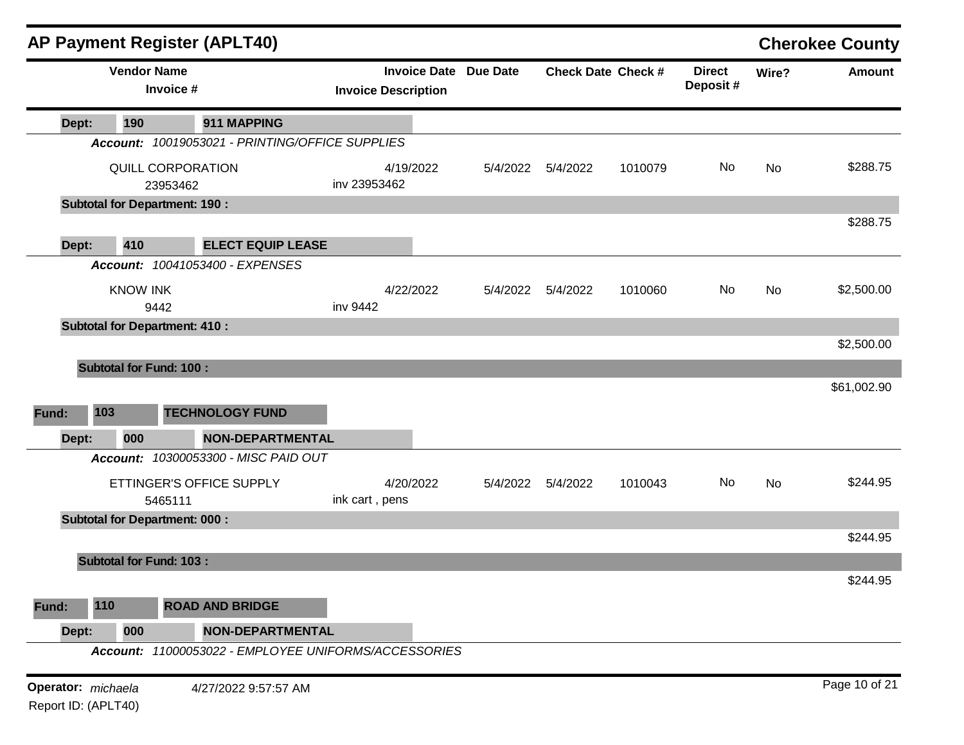|                     |                                | <b>AP Payment Register (APLT40)</b>                  |                            |           |                              |                           |         |                           |           | <b>Cherokee County</b> |
|---------------------|--------------------------------|------------------------------------------------------|----------------------------|-----------|------------------------------|---------------------------|---------|---------------------------|-----------|------------------------|
|                     | <b>Vendor Name</b>             | Invoice #                                            | <b>Invoice Description</b> |           | <b>Invoice Date Due Date</b> | <b>Check Date Check #</b> |         | <b>Direct</b><br>Deposit# | Wire?     | <b>Amount</b>          |
| Dept:               | 190                            | 911 MAPPING                                          |                            |           |                              |                           |         |                           |           |                        |
|                     |                                | Account: 10019053021 - PRINTING/OFFICE SUPPLIES      |                            |           |                              |                           |         |                           |           |                        |
|                     |                                | QUILL CORPORATION                                    |                            | 4/19/2022 | 5/4/2022                     | 5/4/2022                  | 1010079 | No                        | <b>No</b> | \$288.75               |
|                     |                                | 23953462                                             | inv 23953462               |           |                              |                           |         |                           |           |                        |
|                     |                                | <b>Subtotal for Department: 190:</b>                 |                            |           |                              |                           |         |                           |           |                        |
|                     |                                |                                                      |                            |           |                              |                           |         |                           |           | \$288.75               |
| Dept:               | 410                            | <b>ELECT EQUIP LEASE</b>                             |                            |           |                              |                           |         |                           |           |                        |
|                     |                                | Account: 10041053400 - EXPENSES                      |                            |           |                              |                           |         |                           |           |                        |
|                     | <b>KNOW INK</b>                | 9442                                                 | inv 9442                   | 4/22/2022 | 5/4/2022                     | 5/4/2022                  | 1010060 | No                        | No        | \$2,500.00             |
|                     |                                | <b>Subtotal for Department: 410:</b>                 |                            |           |                              |                           |         |                           |           |                        |
|                     |                                |                                                      |                            |           |                              |                           |         |                           |           | \$2,500.00             |
|                     | <b>Subtotal for Fund: 100:</b> |                                                      |                            |           |                              |                           |         |                           |           |                        |
|                     |                                |                                                      |                            |           |                              |                           |         |                           |           | \$61,002.90            |
|                     |                                |                                                      |                            |           |                              |                           |         |                           |           |                        |
| Fund:               | 103                            | <b>TECHNOLOGY FUND</b>                               |                            |           |                              |                           |         |                           |           |                        |
| Dept:               | 000                            | <b>NON-DEPARTMENTAL</b>                              |                            |           |                              |                           |         |                           |           |                        |
|                     |                                | Account: 10300053300 - MISC PAID OUT                 |                            |           |                              |                           |         |                           |           |                        |
|                     |                                | ETTINGER'S OFFICE SUPPLY                             |                            | 4/20/2022 | 5/4/2022                     | 5/4/2022                  | 1010043 | No                        | No        | \$244.95               |
|                     |                                | 5465111                                              | ink cart, pens             |           |                              |                           |         |                           |           |                        |
|                     |                                | <b>Subtotal for Department: 000:</b>                 |                            |           |                              |                           |         |                           |           |                        |
|                     |                                |                                                      |                            |           |                              |                           |         |                           |           | \$244.95               |
|                     | <b>Subtotal for Fund: 103:</b> |                                                      |                            |           |                              |                           |         |                           |           |                        |
|                     |                                |                                                      |                            |           |                              |                           |         |                           |           | \$244.95               |
| Fund:               | 110                            | <b>ROAD AND BRIDGE</b>                               |                            |           |                              |                           |         |                           |           |                        |
| Dept:               | 000                            | <b>NON-DEPARTMENTAL</b>                              |                            |           |                              |                           |         |                           |           |                        |
|                     |                                | Account: 11000053022 - EMPLOYEE UNIFORMS/ACCESSORIES |                            |           |                              |                           |         |                           |           |                        |
| Operator: michaela  |                                | 4/27/2022 9:57:57 AM                                 |                            |           |                              |                           |         |                           |           | Page 10 of 21          |
| Report ID: (APLT40) |                                |                                                      |                            |           |                              |                           |         |                           |           |                        |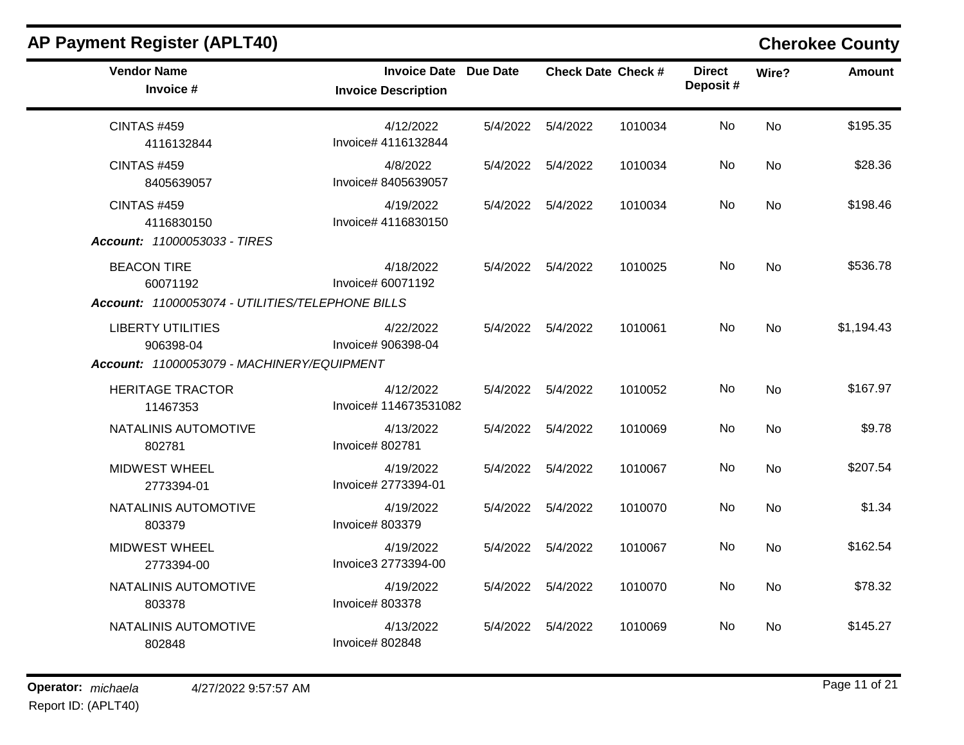| <b>AP Payment Register (APLT40)</b>                                                 |                                                            |          |                     |                           |                           |           | <b>Cherokee County</b> |
|-------------------------------------------------------------------------------------|------------------------------------------------------------|----------|---------------------|---------------------------|---------------------------|-----------|------------------------|
| <b>Vendor Name</b><br>Invoice #                                                     | <b>Invoice Date Due Date</b><br><b>Invoice Description</b> |          |                     | <b>Check Date Check #</b> | <b>Direct</b><br>Deposit# | Wire?     | <b>Amount</b>          |
| <b>CINTAS #459</b><br>4116132844                                                    | 4/12/2022<br>Invoice# 4116132844                           |          | 5/4/2022  5/4/2022  | 1010034                   | No                        | <b>No</b> | \$195.35               |
| <b>CINTAS #459</b><br>8405639057                                                    | 4/8/2022<br>Invoice# 8405639057                            |          | 5/4/2022  5/4/2022  | 1010034                   | No                        | No        | \$28.36                |
| <b>CINTAS #459</b><br>4116830150<br>Account: 11000053033 - TIRES                    | 4/19/2022<br>Invoice# 4116830150                           |          | 5/4/2022  5/4/2022  | 1010034                   | No                        | <b>No</b> | \$198.46               |
| <b>BEACON TIRE</b><br>60071192<br>Account: 11000053074 - UTILITIES/TELEPHONE BILLS  | 4/18/2022<br>Invoice# 60071192                             |          | 5/4/2022   5/4/2022 | 1010025                   | No                        | <b>No</b> | \$536.78               |
| <b>LIBERTY UTILITIES</b><br>906398-04<br>Account: 11000053079 - MACHINERY/EQUIPMENT | 4/22/2022<br>Invoice# 906398-04                            |          | 5/4/2022 5/4/2022   | 1010061                   | No.                       | <b>No</b> | \$1,194.43             |
| <b>HERITAGE TRACTOR</b><br>11467353                                                 | 4/12/2022<br>Invoice# 114673531082                         |          | 5/4/2022  5/4/2022  | 1010052                   | No.                       | <b>No</b> | \$167.97               |
| NATALINIS AUTOMOTIVE<br>802781                                                      | 4/13/2022<br>Invoice# 802781                               | 5/4/2022 | 5/4/2022            | 1010069                   | No.                       | <b>No</b> | \$9.78                 |
| <b>MIDWEST WHEEL</b><br>2773394-01                                                  | 4/19/2022<br>Invoice# 2773394-01                           | 5/4/2022 | 5/4/2022            | 1010067                   | No                        | <b>No</b> | \$207.54               |
| NATALINIS AUTOMOTIVE<br>803379                                                      | 4/19/2022<br>Invoice# 803379                               | 5/4/2022 | 5/4/2022            | 1010070                   | No                        | <b>No</b> | \$1.34                 |
| <b>MIDWEST WHEEL</b><br>2773394-00                                                  | 4/19/2022<br>Invoice3 2773394-00                           | 5/4/2022 | 5/4/2022            | 1010067                   | No                        | <b>No</b> | \$162.54               |
| NATALINIS AUTOMOTIVE<br>803378                                                      | 4/19/2022<br>Invoice# 803378                               |          | 5/4/2022  5/4/2022  | 1010070                   | No                        | No        | \$78.32                |
| NATALINIS AUTOMOTIVE<br>802848                                                      | 4/13/2022<br>Invoice# 802848                               |          | 5/4/2022  5/4/2022  | 1010069                   | No.                       | <b>No</b> | \$145.27               |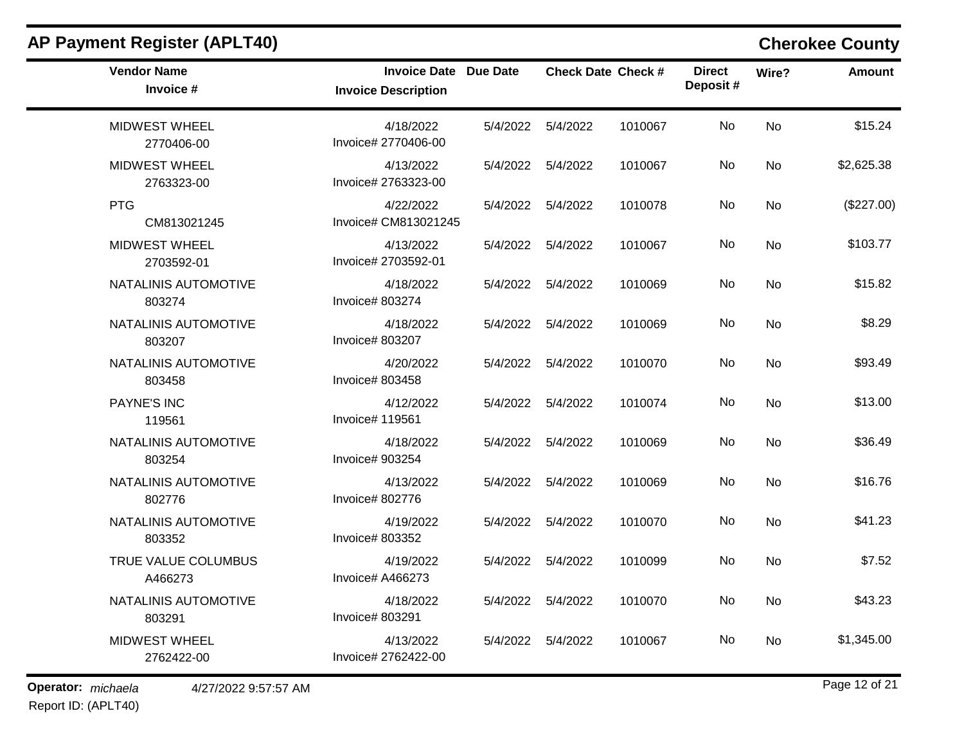| <b>Vendor Name</b><br>Invoice #    | Invoice Date Due Date<br><b>Invoice Description</b> | <b>Check Date Check #</b> |         | <b>Direct</b><br>Deposit# | Wire?     | <b>Amount</b> |
|------------------------------------|-----------------------------------------------------|---------------------------|---------|---------------------------|-----------|---------------|
| <b>MIDWEST WHEEL</b><br>2770406-00 | 4/18/2022<br>Invoice# 2770406-00                    | 5/4/2022  5/4/2022        | 1010067 | No                        | <b>No</b> | \$15.24       |
| <b>MIDWEST WHEEL</b><br>2763323-00 | 4/13/2022<br>Invoice# 2763323-00                    | 5/4/2022  5/4/2022        | 1010067 | No.                       | No        | \$2,625.38    |
| <b>PTG</b><br>CM813021245          | 4/22/2022<br>Invoice# CM813021245                   | 5/4/2022  5/4/2022        | 1010078 | No                        | No        | (\$227.00)    |
| <b>MIDWEST WHEEL</b><br>2703592-01 | 4/13/2022<br>Invoice# 2703592-01                    | 5/4/2022   5/4/2022       | 1010067 | No.                       | <b>No</b> | \$103.77      |
| NATALINIS AUTOMOTIVE<br>803274     | 4/18/2022<br>Invoice# 803274                        | 5/4/2022  5/4/2022        | 1010069 | No.                       | <b>No</b> | \$15.82       |
| NATALINIS AUTOMOTIVE<br>803207     | 4/18/2022<br>Invoice# 803207                        | 5/4/2022  5/4/2022        | 1010069 | No.                       | No        | \$8.29        |
| NATALINIS AUTOMOTIVE<br>803458     | 4/20/2022<br>Invoice# 803458                        | 5/4/2022  5/4/2022        | 1010070 | No                        | No        | \$93.49       |
| <b>PAYNE'S INC</b><br>119561       | 4/12/2022<br>Invoice# 119561                        | 5/4/2022  5/4/2022        | 1010074 | No                        | <b>No</b> | \$13.00       |
| NATALINIS AUTOMOTIVE<br>803254     | 4/18/2022<br>Invoice# 903254                        | 5/4/2022  5/4/2022        | 1010069 | No                        | <b>No</b> | \$36.49       |
| NATALINIS AUTOMOTIVE<br>802776     | 4/13/2022<br>Invoice# 802776                        | 5/4/2022  5/4/2022        | 1010069 | No                        | No        | \$16.76       |
| NATALINIS AUTOMOTIVE<br>803352     | 4/19/2022<br>Invoice# 803352                        | 5/4/2022 5/4/2022         | 1010070 | No                        | <b>No</b> | \$41.23       |
| TRUE VALUE COLUMBUS<br>A466273     | 4/19/2022<br>Invoice# A466273                       | 5/4/2022  5/4/2022        | 1010099 | No.                       | No        | \$7.52        |
| NATALINIS AUTOMOTIVE<br>803291     | 4/18/2022<br>Invoice# 803291                        | 5/4/2022  5/4/2022        | 1010070 | No.                       | <b>No</b> | \$43.23       |
| MIDWEST WHEEL<br>2762422-00        | 4/13/2022<br>Invoice# 2762422-00                    | 5/4/2022  5/4/2022        | 1010067 | <b>No</b>                 | No        | \$1,345.00    |

Report ID: (APLT40)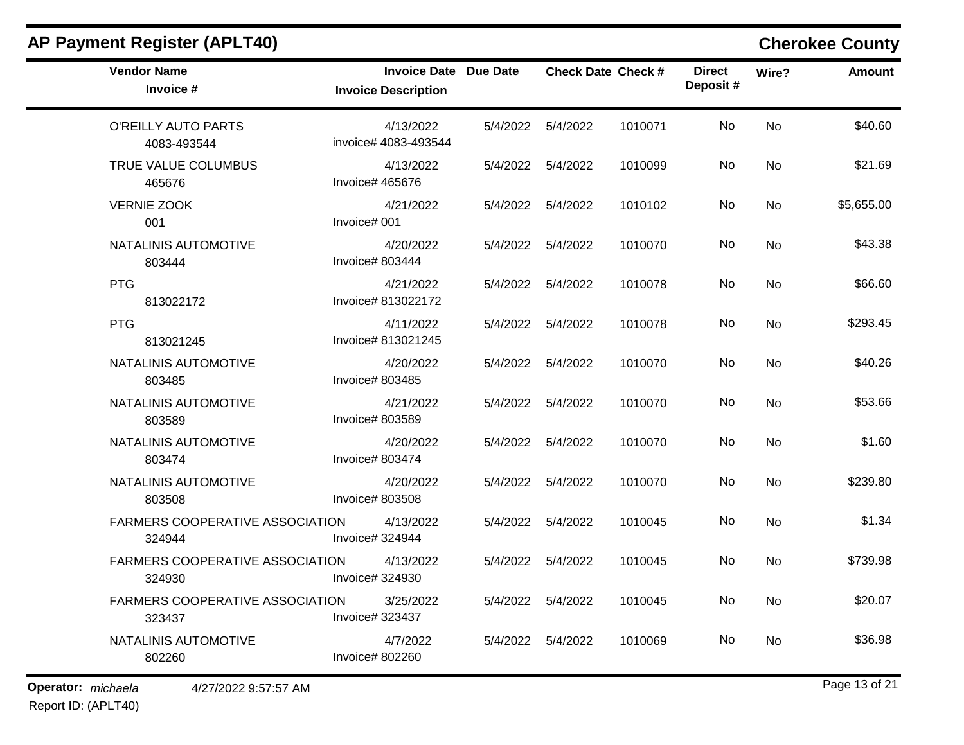| <b>Vendor Name</b><br>Invoice #                  | Invoice Date Due Date<br><b>Invoice Description</b> |          | <b>Check Date Check #</b> |         | <b>Direct</b><br>Deposit# | Wire?     | <b>Amount</b> |
|--------------------------------------------------|-----------------------------------------------------|----------|---------------------------|---------|---------------------------|-----------|---------------|
| O'REILLY AUTO PARTS<br>4083-493544               | 4/13/2022<br>invoice# 4083-493544                   |          | 5/4/2022  5/4/2022        | 1010071 | No.                       | <b>No</b> | \$40.60       |
| TRUE VALUE COLUMBUS<br>465676                    | 4/13/2022<br>Invoice# 465676                        |          | 5/4/2022  5/4/2022        | 1010099 | No                        | <b>No</b> | \$21.69       |
| <b>VERNIE ZOOK</b><br>001                        | 4/21/2022<br>Invoice# 001                           |          | 5/4/2022  5/4/2022        | 1010102 | No                        | No        | \$5,655.00    |
| NATALINIS AUTOMOTIVE<br>803444                   | 4/20/2022<br>Invoice# 803444                        | 5/4/2022 | 5/4/2022                  | 1010070 | No.                       | No        | \$43.38       |
| <b>PTG</b><br>813022172                          | 4/21/2022<br>Invoice# 813022172                     |          | 5/4/2022  5/4/2022        | 1010078 | No                        | No        | \$66.60       |
| <b>PTG</b><br>813021245                          | 4/11/2022<br>Invoice# 813021245                     |          | 5/4/2022  5/4/2022        | 1010078 | No                        | No        | \$293.45      |
| NATALINIS AUTOMOTIVE<br>803485                   | 4/20/2022<br>Invoice# 803485                        |          | 5/4/2022   5/4/2022       | 1010070 | No                        | <b>No</b> | \$40.26       |
| NATALINIS AUTOMOTIVE<br>803589                   | 4/21/2022<br>Invoice# 803589                        |          | 5/4/2022   5/4/2022       | 1010070 | No                        | <b>No</b> | \$53.66       |
| NATALINIS AUTOMOTIVE<br>803474                   | 4/20/2022<br>Invoice# 803474                        |          | 5/4/2022 5/4/2022         | 1010070 | No                        | <b>No</b> | \$1.60        |
| NATALINIS AUTOMOTIVE<br>803508                   | 4/20/2022<br>Invoice# 803508                        |          | 5/4/2022  5/4/2022        | 1010070 | No                        | No        | \$239.80      |
| FARMERS COOPERATIVE ASSOCIATION<br>324944        | 4/13/2022<br>Invoice# 324944                        |          | 5/4/2022  5/4/2022        | 1010045 | No                        | <b>No</b> | \$1.34        |
| <b>FARMERS COOPERATIVE ASSOCIATION</b><br>324930 | 4/13/2022<br>Invoice# 324930                        |          | 5/4/2022   5/4/2022       | 1010045 | No                        | <b>No</b> | \$739.98      |
| FARMERS COOPERATIVE ASSOCIATION<br>323437        | 3/25/2022<br>Invoice# 323437                        |          | 5/4/2022  5/4/2022        | 1010045 | No                        | No        | \$20.07       |
| NATALINIS AUTOMOTIVE<br>802260                   | 4/7/2022<br>Invoice# 802260                         |          | 5/4/2022  5/4/2022        | 1010069 | No.                       | No        | \$36.98       |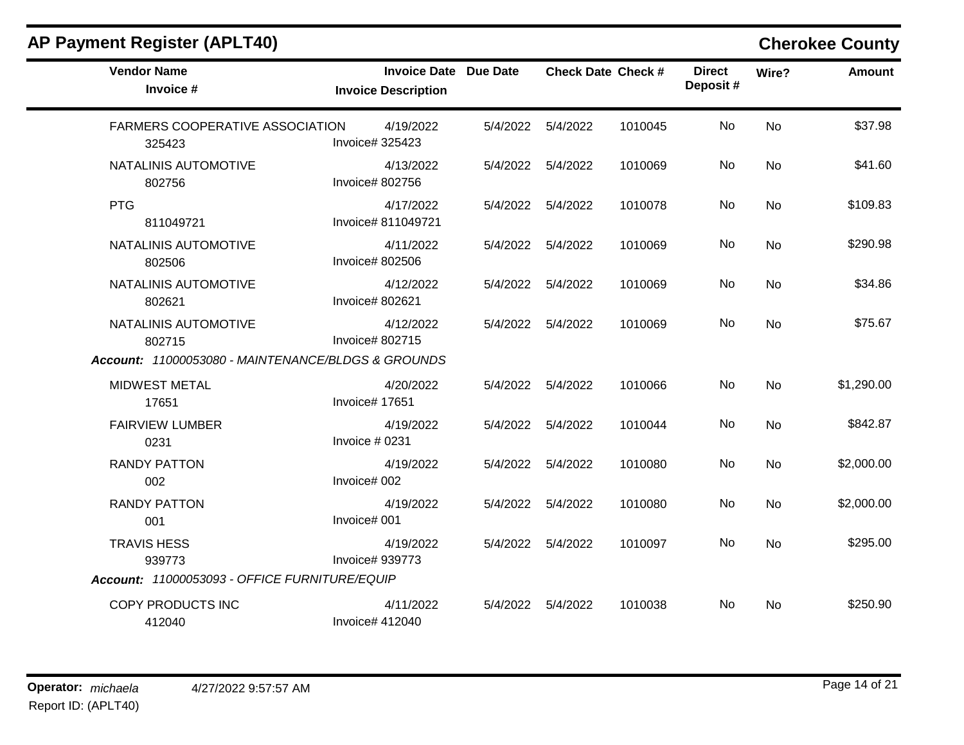| <b>AP Payment Register (APLT40)</b>                |                                                            |          |                           |         |                           |           | <b>Cherokee County</b> |
|----------------------------------------------------|------------------------------------------------------------|----------|---------------------------|---------|---------------------------|-----------|------------------------|
| <b>Vendor Name</b><br>Invoice #                    | <b>Invoice Date Due Date</b><br><b>Invoice Description</b> |          | <b>Check Date Check #</b> |         | <b>Direct</b><br>Deposit# | Wire?     | <b>Amount</b>          |
| <b>FARMERS COOPERATIVE ASSOCIATION</b><br>325423   | 4/19/2022<br>Invoice# 325423                               |          | 5/4/2022   5/4/2022       | 1010045 | No.                       | <b>No</b> | \$37.98                |
| NATALINIS AUTOMOTIVE<br>802756                     | 4/13/2022<br>Invoice# 802756                               | 5/4/2022 | 5/4/2022                  | 1010069 | No                        | No        | \$41.60                |
| <b>PTG</b><br>811049721                            | 4/17/2022<br>Invoice# 811049721                            |          | 5/4/2022  5/4/2022        | 1010078 | No                        | No        | \$109.83               |
| NATALINIS AUTOMOTIVE<br>802506                     | 4/11/2022<br>Invoice# 802506                               | 5/4/2022 | 5/4/2022                  | 1010069 | No                        | No        | \$290.98               |
| NATALINIS AUTOMOTIVE<br>802621                     | 4/12/2022<br>Invoice# 802621                               |          | 5/4/2022  5/4/2022        | 1010069 | No                        | No        | \$34.86                |
| NATALINIS AUTOMOTIVE<br>802715                     | 4/12/2022<br>Invoice# 802715                               | 5/4/2022 | 5/4/2022                  | 1010069 | No                        | <b>No</b> | \$75.67                |
| Account: 11000053080 - MAINTENANCE/BLDGS & GROUNDS |                                                            |          |                           |         |                           |           |                        |
| <b>MIDWEST METAL</b><br>17651                      | 4/20/2022<br>Invoice# 17651                                |          | 5/4/2022  5/4/2022        | 1010066 | No                        | No        | \$1,290.00             |
| <b>FAIRVIEW LUMBER</b><br>0231                     | 4/19/2022<br>Invoice # 0231                                |          | 5/4/2022  5/4/2022        | 1010044 | No                        | <b>No</b> | \$842.87               |
| <b>RANDY PATTON</b><br>002                         | 4/19/2022<br>Invoice# 002                                  | 5/4/2022 | 5/4/2022                  | 1010080 | No                        | No        | \$2,000.00             |
| <b>RANDY PATTON</b><br>001                         | 4/19/2022<br>Invoice# 001                                  | 5/4/2022 | 5/4/2022                  | 1010080 | No                        | <b>No</b> | \$2,000.00             |
| <b>TRAVIS HESS</b><br>939773                       | 4/19/2022<br>Invoice# 939773                               | 5/4/2022 | 5/4/2022                  | 1010097 | No                        | No        | \$295.00               |
| Account: 11000053093 - OFFICE FURNITURE/EQUIP      |                                                            |          |                           |         |                           |           |                        |
| COPY PRODUCTS INC<br>412040                        | 4/11/2022<br>Invoice# 412040                               | 5/4/2022 | 5/4/2022                  | 1010038 | No.                       | No        | \$250.90               |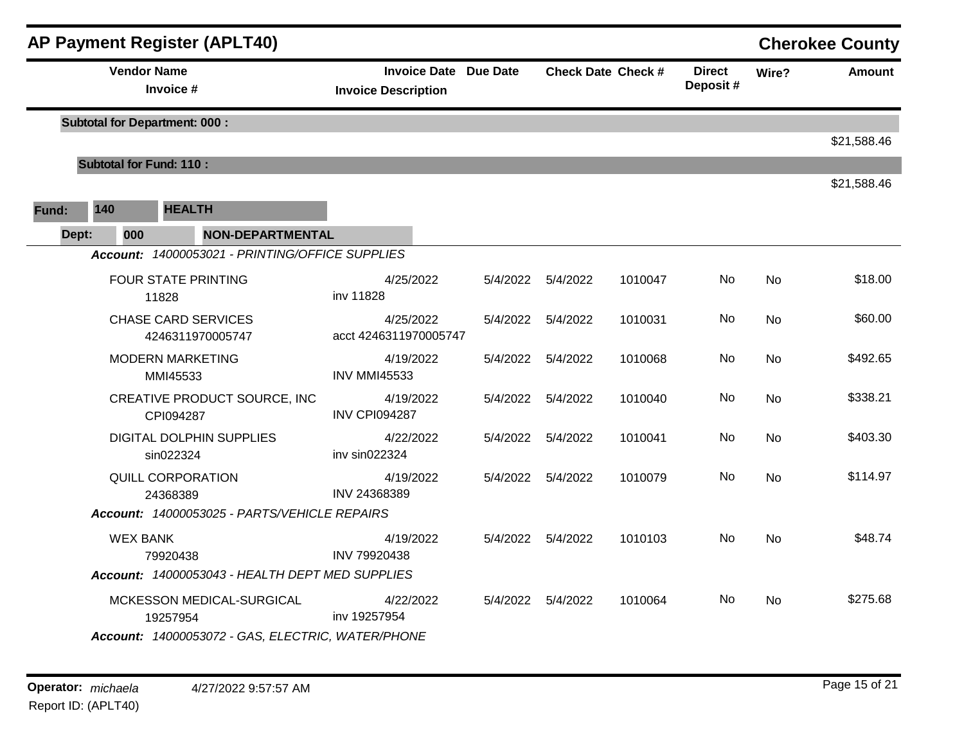|       |                                | <b>AP Payment Register (APLT40)</b>               |                                                            |          |                    |                           |                           |           | <b>Cherokee County</b> |
|-------|--------------------------------|---------------------------------------------------|------------------------------------------------------------|----------|--------------------|---------------------------|---------------------------|-----------|------------------------|
|       |                                | <b>Vendor Name</b><br>Invoice #                   | <b>Invoice Date Due Date</b><br><b>Invoice Description</b> |          |                    | <b>Check Date Check #</b> | <b>Direct</b><br>Deposit# | Wire?     | <b>Amount</b>          |
|       |                                | <b>Subtotal for Department: 000:</b>              |                                                            |          |                    |                           |                           |           |                        |
|       |                                |                                                   |                                                            |          |                    |                           |                           |           | \$21,588.46            |
|       | <b>Subtotal for Fund: 110:</b> |                                                   |                                                            |          |                    |                           |                           |           | \$21,588.46            |
| Fund: | 140                            | <b>HEALTH</b>                                     |                                                            |          |                    |                           |                           |           |                        |
|       | 000<br>Dept:                   | <b>NON-DEPARTMENTAL</b>                           |                                                            |          |                    |                           |                           |           |                        |
|       |                                | Account: 14000053021 - PRINTING/OFFICE SUPPLIES   |                                                            |          |                    |                           |                           |           |                        |
|       |                                | FOUR STATE PRINTING<br>11828                      | 4/25/2022<br>inv 11828                                     |          | 5/4/2022  5/4/2022 | 1010047                   | No.                       | <b>No</b> | \$18.00                |
|       |                                | <b>CHASE CARD SERVICES</b><br>4246311970005747    | 4/25/2022<br>acct 4246311970005747                         |          | 5/4/2022  5/4/2022 | 1010031                   | <b>No</b>                 | <b>No</b> | \$60.00                |
|       |                                | <b>MODERN MARKETING</b><br>MMI45533               | 4/19/2022<br><b>INV MMI45533</b>                           | 5/4/2022 | 5/4/2022           | 1010068                   | No                        | No        | \$492.65               |
|       |                                | CREATIVE PRODUCT SOURCE, INC<br>CPI094287         | 4/19/2022<br><b>INV CPI094287</b>                          |          | 5/4/2022 5/4/2022  | 1010040                   | No.                       | <b>No</b> | \$338.21               |
|       |                                | <b>DIGITAL DOLPHIN SUPPLIES</b><br>sin022324      | 4/22/2022<br>inv sin022324                                 |          | 5/4/2022  5/4/2022 | 1010041                   | No                        | No        | \$403.30               |
|       |                                | <b>QUILL CORPORATION</b><br>24368389              | 4/19/2022<br>INV 24368389                                  |          | 5/4/2022  5/4/2022 | 1010079                   | No                        | No        | \$114.97               |
|       |                                | Account: 14000053025 - PARTS/VEHICLE REPAIRS      |                                                            |          |                    |                           |                           |           |                        |
|       | <b>WEX BANK</b>                | 79920438                                          | 4/19/2022<br>INV 79920438                                  |          | 5/4/2022  5/4/2022 | 1010103                   | No.                       | No        | \$48.74                |
|       |                                | Account: 14000053043 - HEALTH DEPT MED SUPPLIES   |                                                            |          |                    |                           |                           |           |                        |
|       |                                | MCKESSON MEDICAL-SURGICAL<br>19257954             | 4/22/2022<br>inv 19257954                                  |          | 5/4/2022  5/4/2022 | 1010064                   | No.                       | No        | \$275.68               |
|       |                                | Account: 14000053072 - GAS, ELECTRIC, WATER/PHONE |                                                            |          |                    |                           |                           |           |                        |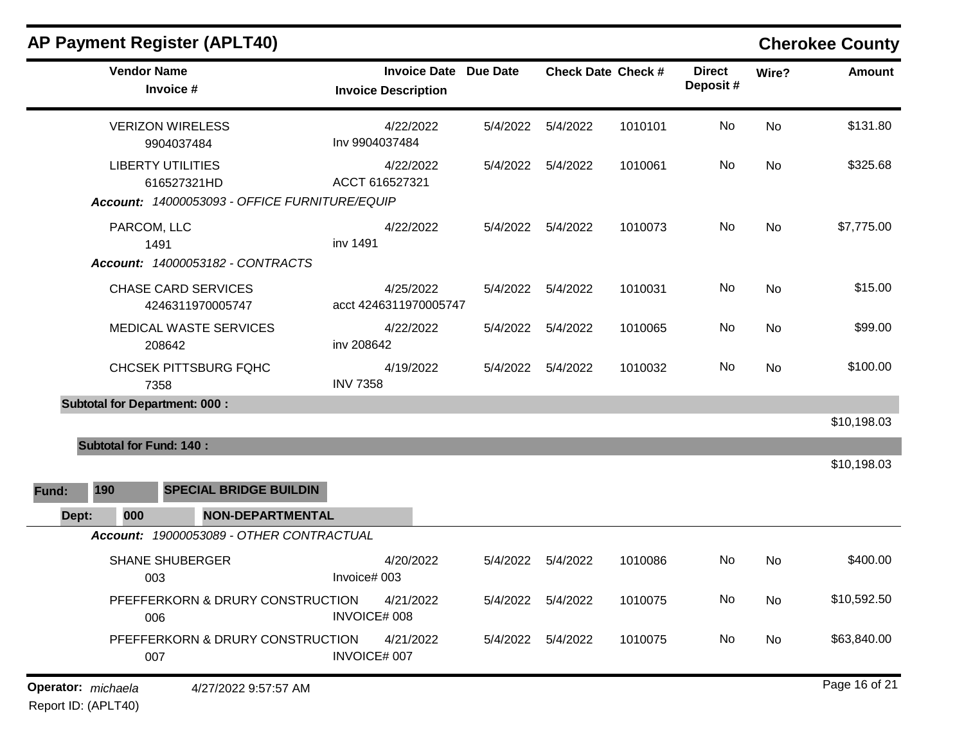|                    | <b>AP Payment Register (APLT40)</b>                                                      |                                                   |                 |                    |                           |                           |       | <b>Cherokee County</b> |
|--------------------|------------------------------------------------------------------------------------------|---------------------------------------------------|-----------------|--------------------|---------------------------|---------------------------|-------|------------------------|
|                    | <b>Vendor Name</b><br>Invoice #                                                          | <b>Invoice Date</b><br><b>Invoice Description</b> | <b>Due Date</b> |                    | <b>Check Date Check #</b> | <b>Direct</b><br>Deposit# | Wire? | <b>Amount</b>          |
|                    | <b>VERIZON WIRELESS</b><br>9904037484                                                    | 4/22/2022<br>Inv 9904037484                       | 5/4/2022        | 5/4/2022           | 1010101                   | No                        | No    | \$131.80               |
|                    | <b>LIBERTY UTILITIES</b><br>616527321HD<br>Account: 14000053093 - OFFICE FURNITURE/EQUIP | 4/22/2022<br>ACCT 616527321                       | 5/4/2022        | 5/4/2022           | 1010061                   | No                        | No    | \$325.68               |
|                    | PARCOM, LLC<br>1491                                                                      | 4/22/2022<br>inv 1491                             | 5/4/2022        | 5/4/2022           | 1010073                   | No                        | No    | \$7,775.00             |
|                    | Account: 14000053182 - CONTRACTS<br><b>CHASE CARD SERVICES</b><br>4246311970005747       | 4/25/2022<br>acct 4246311970005747                | 5/4/2022        | 5/4/2022           | 1010031                   | No                        | No    | \$15.00                |
|                    | MEDICAL WASTE SERVICES<br>208642                                                         | 4/22/2022<br>inv 208642                           | 5/4/2022        | 5/4/2022           | 1010065                   | No                        | No    | \$99.00                |
|                    | <b>CHCSEK PITTSBURG FQHC</b><br>7358                                                     | 4/19/2022<br><b>INV 7358</b>                      | 5/4/2022        | 5/4/2022           | 1010032                   | No                        | No    | \$100.00               |
|                    | <b>Subtotal for Department: 000:</b>                                                     |                                                   |                 |                    |                           |                           |       | \$10,198.03            |
| 190<br>Fund:       | <b>Subtotal for Fund: 140:</b><br><b>SPECIAL BRIDGE BUILDIN</b>                          |                                                   |                 |                    |                           |                           |       | \$10,198.03            |
| Dept:              | <b>NON-DEPARTMENTAL</b><br>000                                                           |                                                   |                 |                    |                           |                           |       |                        |
|                    | Account: 19000053089 - OTHER CONTRACTUAL                                                 |                                                   |                 |                    |                           |                           |       |                        |
|                    | <b>SHANE SHUBERGER</b><br>003                                                            | 4/20/2022<br>Invoice# 003                         | 5/4/2022        | 5/4/2022           | 1010086                   | No                        | No    | \$400.00               |
|                    | PFEFFERKORN & DRURY CONSTRUCTION<br>006                                                  | 4/21/2022<br>INVOICE# 008                         |                 | 5/4/2022  5/4/2022 | 1010075                   | No                        | No    | \$10,592.50            |
|                    | PFEFFERKORN & DRURY CONSTRUCTION<br>007                                                  | 4/21/2022<br>INVOICE# 007                         |                 | 5/4/2022  5/4/2022 | 1010075                   | No                        | No    | \$63,840.00            |
| Operator: michaela | 4/27/2022 9:57:57 AM                                                                     |                                                   |                 |                    |                           |                           |       | Page 16 of 21          |

Report ID: (APLT40)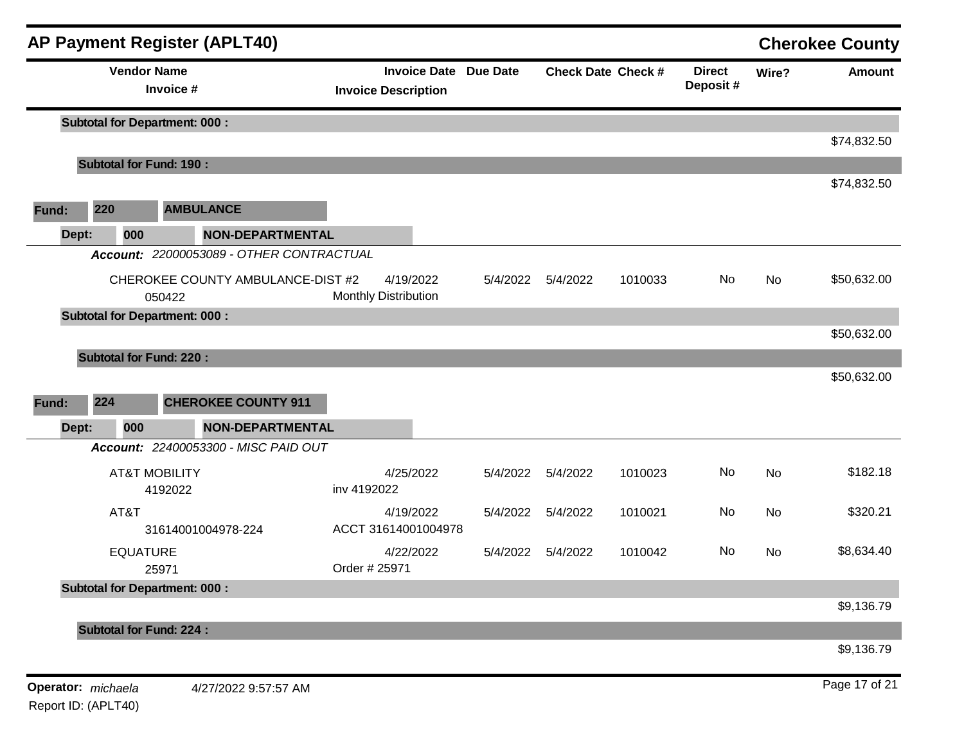|                |                    |                                      | <b>AP Payment Register (APLT40)</b>                   |                             |           |                              |                           |         |                            |       | <b>Cherokee County</b> |
|----------------|--------------------|--------------------------------------|-------------------------------------------------------|-----------------------------|-----------|------------------------------|---------------------------|---------|----------------------------|-------|------------------------|
|                |                    | <b>Vendor Name</b><br>Invoice #      |                                                       | <b>Invoice Description</b>  |           | <b>Invoice Date Due Date</b> | <b>Check Date Check #</b> |         | <b>Direct</b><br>Deposit # | Wire? | <b>Amount</b>          |
|                |                    | <b>Subtotal for Department: 000:</b> |                                                       |                             |           |                              |                           |         |                            |       | \$74,832.50            |
|                |                    | <b>Subtotal for Fund: 190:</b>       |                                                       |                             |           |                              |                           |         |                            |       |                        |
| Fund:          | 220                |                                      | <b>AMBULANCE</b>                                      |                             |           |                              |                           |         |                            |       | \$74,832.50            |
| Dept:          | 000                |                                      | <b>NON-DEPARTMENTAL</b>                               |                             |           |                              |                           |         |                            |       |                        |
|                |                    |                                      | Account: 22000053089 - OTHER CONTRACTUAL              |                             |           |                              |                           |         |                            |       |                        |
|                |                    | 050422                               | CHEROKEE COUNTY AMBULANCE-DIST #2                     | <b>Monthly Distribution</b> | 4/19/2022 | 5/4/2022                     | 5/4/2022                  | 1010033 | No                         | No    | \$50,632.00            |
|                |                    | <b>Subtotal for Department: 000:</b> |                                                       |                             |           |                              |                           |         |                            |       |                        |
| Fund:<br>Dept: | 224<br>000         |                                      | <b>CHEROKEE COUNTY 911</b><br><b>NON-DEPARTMENTAL</b> |                             |           |                              |                           |         |                            |       | \$50,632.00            |
|                |                    |                                      | Account: 22400053300 - MISC PAID OUT                  |                             |           |                              |                           |         |                            |       |                        |
|                |                    | <b>AT&amp;T MOBILITY</b><br>4192022  |                                                       | inv 4192022                 | 4/25/2022 | 5/4/2022                     | 5/4/2022                  | 1010023 | No                         | No    | \$182.18               |
|                | AT&T               |                                      | 31614001004978-224                                    | ACCT 31614001004978         | 4/19/2022 | 5/4/2022                     | 5/4/2022                  | 1010021 | No                         | No    | \$320.21               |
|                |                    | <b>EQUATURE</b><br>25971             |                                                       | Order # 25971               | 4/22/2022 | 5/4/2022                     | 5/4/2022                  | 1010042 | No                         | No    | \$8,634.40             |
|                |                    | <b>Subtotal for Department: 000:</b> |                                                       |                             |           |                              |                           |         |                            |       | \$9,136.79             |
|                |                    | <b>Subtotal for Fund: 224:</b>       |                                                       |                             |           |                              |                           |         |                            |       |                        |
|                |                    |                                      |                                                       |                             |           |                              |                           |         |                            |       | \$9,136.79             |
|                | Operator: michaela |                                      | 4/27/2022 9:57:57 AM                                  |                             |           |                              |                           |         |                            |       | Page 17 of 21          |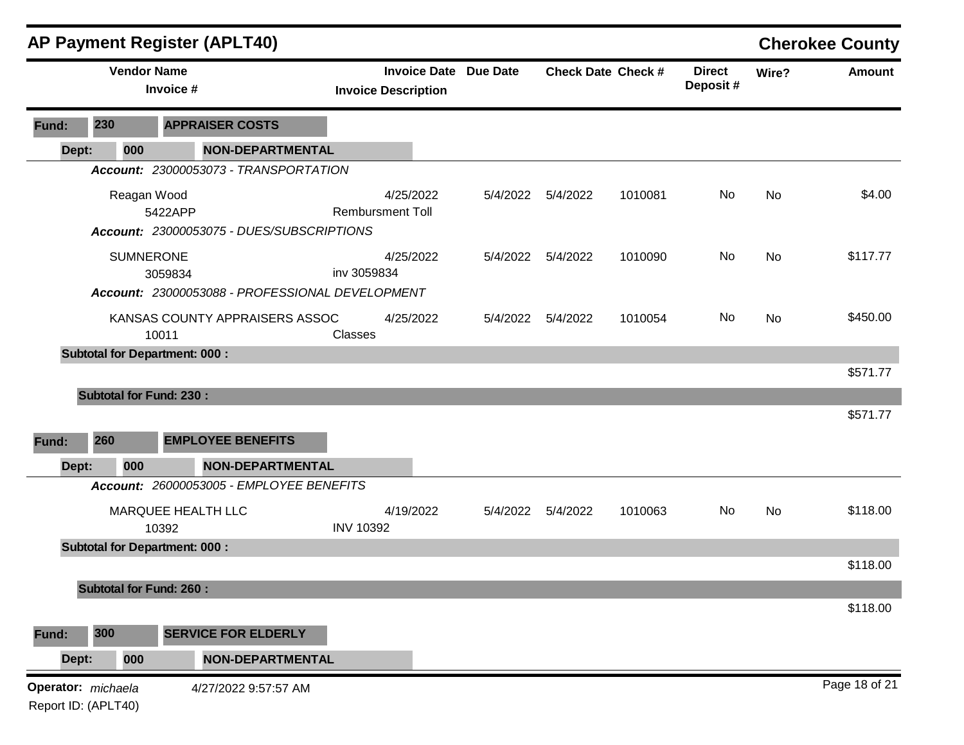|                                           |       |                    | <b>AP Payment Register (APLT40)</b>                  |                                                   |                 |          |                           |                           |       | <b>Cherokee County</b> |
|-------------------------------------------|-------|--------------------|------------------------------------------------------|---------------------------------------------------|-----------------|----------|---------------------------|---------------------------|-------|------------------------|
|                                           |       | <b>Vendor Name</b> | Invoice #                                            | <b>Invoice Date</b><br><b>Invoice Description</b> | <b>Due Date</b> |          | <b>Check Date Check #</b> | <b>Direct</b><br>Deposit# | Wire? | <b>Amount</b>          |
| Fund:                                     | 230   |                    | <b>APPRAISER COSTS</b>                               |                                                   |                 |          |                           |                           |       |                        |
|                                           | Dept: | 000                | NON-DEPARTMENTAL                                     |                                                   |                 |          |                           |                           |       |                        |
|                                           |       |                    | Account: 23000053073 - TRANSPORTATION                |                                                   |                 |          |                           |                           |       |                        |
|                                           |       | Reagan Wood        | 5422APP<br>Account: 23000053075 - DUES/SUBSCRIPTIONS | 4/25/2022<br><b>Rembursment Toll</b>              | 5/4/2022        | 5/4/2022 | 1010081                   | No                        | No    | \$4.00                 |
|                                           |       | <b>SUMNERONE</b>   | 3059834                                              | 4/25/2022<br>inv 3059834                          | 5/4/2022        | 5/4/2022 | 1010090                   | No                        | No    | \$117.77               |
|                                           |       |                    | Account: 23000053088 - PROFESSIONAL DEVELOPMENT      |                                                   |                 |          |                           |                           |       |                        |
|                                           |       |                    | KANSAS COUNTY APPRAISERS ASSOC<br>10011              | 4/25/2022<br>Classes                              | 5/4/2022        | 5/4/2022 | 1010054                   | No                        | No    | \$450.00               |
|                                           |       |                    | <b>Subtotal for Department: 000:</b>                 |                                                   |                 |          |                           |                           |       |                        |
|                                           |       |                    |                                                      |                                                   |                 |          |                           |                           |       | \$571.77               |
|                                           |       |                    | <b>Subtotal for Fund: 230:</b>                       |                                                   |                 |          |                           |                           |       |                        |
|                                           |       |                    |                                                      |                                                   |                 |          |                           |                           |       | \$571.77               |
| Fund:                                     | 260   |                    | <b>EMPLOYEE BENEFITS</b>                             |                                                   |                 |          |                           |                           |       |                        |
|                                           | Dept: | 000                | <b>NON-DEPARTMENTAL</b>                              |                                                   |                 |          |                           |                           |       |                        |
|                                           |       |                    | Account: 26000053005 - EMPLOYEE BENEFITS             |                                                   |                 |          |                           |                           |       |                        |
|                                           |       |                    | MARQUEE HEALTH LLC<br>10392                          | 4/19/2022<br><b>INV 10392</b>                     | 5/4/2022        | 5/4/2022 | 1010063                   | No                        | No    | \$118.00               |
|                                           |       |                    | <b>Subtotal for Department: 000:</b>                 |                                                   |                 |          |                           |                           |       |                        |
|                                           |       |                    |                                                      |                                                   |                 |          |                           |                           |       | \$118.00               |
|                                           |       |                    | <b>Subtotal for Fund: 260:</b>                       |                                                   |                 |          |                           |                           |       |                        |
| Fund:                                     | 300   |                    | <b>SERVICE FOR ELDERLY</b>                           |                                                   |                 |          |                           |                           |       | \$118.00               |
|                                           |       | 000                | <b>NON-DEPARTMENTAL</b>                              |                                                   |                 |          |                           |                           |       |                        |
|                                           | Dept: |                    |                                                      |                                                   |                 |          |                           |                           |       |                        |
| Operator: michaela<br>Report ID: (APLT40) |       |                    | 4/27/2022 9:57:57 AM                                 |                                                   |                 |          |                           |                           |       | Page 18 of 21          |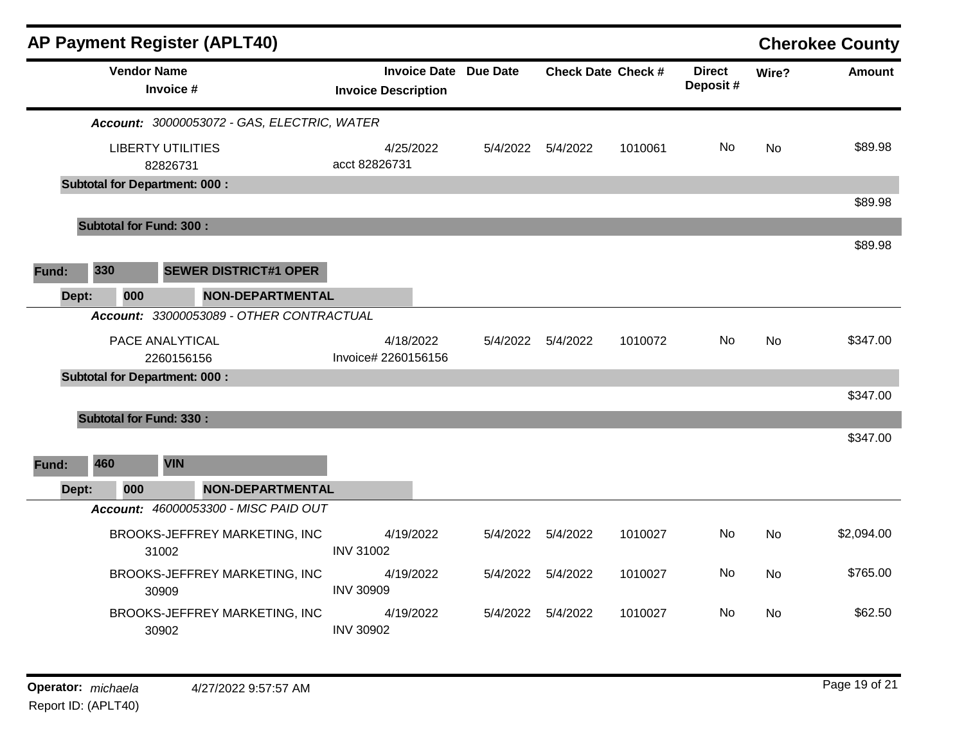|       |     |                    | <b>AP Payment Register (APLT40)</b>         |                                                            |          |                           |         |                           |           | <b>Cherokee County</b> |
|-------|-----|--------------------|---------------------------------------------|------------------------------------------------------------|----------|---------------------------|---------|---------------------------|-----------|------------------------|
|       |     | <b>Vendor Name</b> | Invoice #                                   | <b>Invoice Date Due Date</b><br><b>Invoice Description</b> |          | <b>Check Date Check #</b> |         | <b>Direct</b><br>Deposit# | Wire?     | <b>Amount</b>          |
|       |     |                    | Account: 30000053072 - GAS, ELECTRIC, WATER |                                                            |          |                           |         |                           |           |                        |
|       |     |                    | <b>LIBERTY UTILITIES</b><br>82826731        | 4/25/2022<br>acct 82826731                                 |          | 5/4/2022  5/4/2022        | 1010061 | No                        | No        | \$89.98                |
|       |     |                    | <b>Subtotal for Department: 000:</b>        |                                                            |          |                           |         |                           |           |                        |
|       |     |                    |                                             |                                                            |          |                           |         |                           |           | \$89.98                |
|       |     |                    | <b>Subtotal for Fund: 300:</b>              |                                                            |          |                           |         |                           |           | \$89.98                |
|       |     |                    |                                             |                                                            |          |                           |         |                           |           |                        |
| Fund: | 330 |                    | <b>SEWER DISTRICT#1 OPER</b>                |                                                            |          |                           |         |                           |           |                        |
| Dept: |     | 000                | NON-DEPARTMENTAL                            |                                                            |          |                           |         |                           |           |                        |
|       |     |                    | Account: 33000053089 - OTHER CONTRACTUAL    |                                                            |          |                           |         |                           |           |                        |
|       |     |                    | PACE ANALYTICAL<br>2260156156               | 4/18/2022<br>Invoice# 2260156156                           |          | 5/4/2022  5/4/2022        | 1010072 | No.                       | No        | \$347.00               |
|       |     |                    | <b>Subtotal for Department: 000:</b>        |                                                            |          |                           |         |                           |           |                        |
|       |     |                    |                                             |                                                            |          |                           |         |                           |           | \$347.00               |
|       |     |                    | <b>Subtotal for Fund: 330:</b>              |                                                            |          |                           |         |                           |           |                        |
| Fund: | 460 |                    | <b>VIN</b>                                  |                                                            |          |                           |         |                           |           | \$347.00               |
| Dept: |     | 000                | <b>NON-DEPARTMENTAL</b>                     |                                                            |          |                           |         |                           |           |                        |
|       |     |                    | Account: 46000053300 - MISC PAID OUT        |                                                            |          |                           |         |                           |           |                        |
|       |     |                    | BROOKS-JEFFREY MARKETING, INC<br>31002      | 4/19/2022<br><b>INV 31002</b>                              | 5/4/2022 | 5/4/2022                  | 1010027 | No.                       | <b>No</b> | \$2,094.00             |
|       |     |                    | BROOKS-JEFFREY MARKETING, INC<br>30909      | 4/19/2022<br><b>INV 30909</b>                              | 5/4/2022 | 5/4/2022                  | 1010027 | No                        | No        | \$765.00               |
|       |     |                    | BROOKS-JEFFREY MARKETING, INC<br>30902      | 4/19/2022<br><b>INV 30902</b>                              |          | 5/4/2022 5/4/2022         | 1010027 | No                        | No.       | \$62.50                |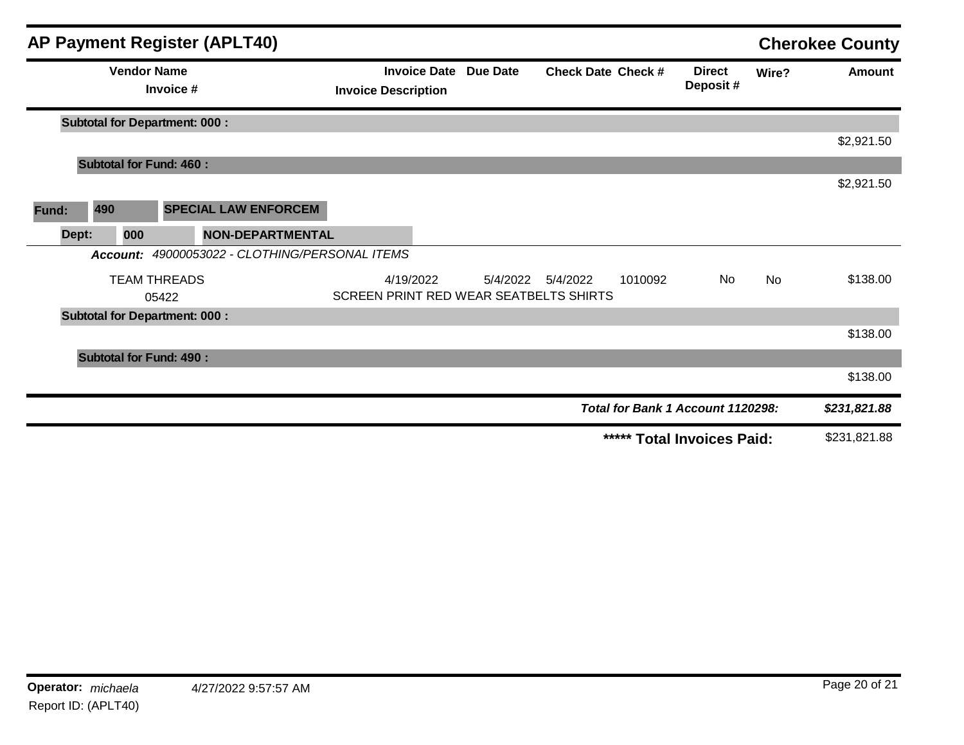|       |       |          | <b>AP Payment Register (APLT40)</b>  |                                       |                                        |                     |          |                           |         |                                   |           | <b>Cherokee County</b> |
|-------|-------|----------|--------------------------------------|---------------------------------------|----------------------------------------|---------------------|----------|---------------------------|---------|-----------------------------------|-----------|------------------------|
|       |       |          | <b>Vendor Name</b><br>Invoice #      |                                       | <b>Invoice Description</b>             | <b>Invoice Date</b> | Due Date | <b>Check Date Check #</b> |         | <b>Direct</b><br>Deposit#         | Wire?     | <b>Amount</b>          |
|       |       |          | <b>Subtotal for Department: 000:</b> |                                       |                                        |                     |          |                           |         |                                   |           |                        |
|       |       |          |                                      |                                       |                                        |                     |          |                           |         |                                   |           | \$2,921.50             |
|       |       |          | <b>Subtotal for Fund: 460:</b>       |                                       |                                        |                     |          |                           |         |                                   |           |                        |
|       |       |          |                                      |                                       |                                        |                     |          |                           |         |                                   |           | \$2,921.50             |
| Fund: | 490   |          |                                      | <b>SPECIAL LAW ENFORCEM</b>           |                                        |                     |          |                           |         |                                   |           |                        |
|       | Dept: | 000      |                                      | <b>NON-DEPARTMENTAL</b>               |                                        |                     |          |                           |         |                                   |           |                        |
|       |       | Account: |                                      | 49000053022 - CLOTHING/PERSONAL ITEMS |                                        |                     |          |                           |         |                                   |           |                        |
|       |       |          | <b>TEAM THREADS</b>                  |                                       |                                        | 4/19/2022           | 5/4/2022 | 5/4/2022                  | 1010092 | No                                | <b>No</b> | \$138.00               |
|       |       |          | 05422                                |                                       | SCREEN PRINT RED WEAR SEATBELTS SHIRTS |                     |          |                           |         |                                   |           |                        |
|       |       |          | <b>Subtotal for Department: 000:</b> |                                       |                                        |                     |          |                           |         |                                   |           |                        |
|       |       |          |                                      |                                       |                                        |                     |          |                           |         |                                   |           | \$138.00               |
|       |       |          | <b>Subtotal for Fund: 490:</b>       |                                       |                                        |                     |          |                           |         |                                   |           |                        |
|       |       |          |                                      |                                       |                                        |                     |          |                           |         |                                   |           | \$138.00               |
|       |       |          |                                      |                                       |                                        |                     |          |                           |         | Total for Bank 1 Account 1120298: |           | \$231,821.88           |
|       |       |          |                                      |                                       |                                        |                     |          |                           |         | ***** Total Invoices Paid:        |           | \$231,821.88           |